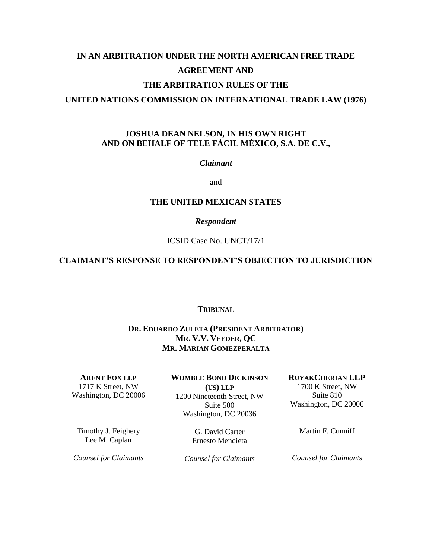# **IN AN ARBITRATION UNDER THE NORTH AMERICAN FREE TRADE AGREEMENT AND THE ARBITRATION RULES OF THE UNITED NATIONS COMMISSION ON INTERNATIONAL TRADE LAW (1976)**

## **JOSHUA DEAN NELSON, IN HIS OWN RIGHT AND ON BEHALF OF TELE FÁCIL MÉXICO, S.A. DE C.V.,**

### *Claimant*

and

### **THE UNITED MEXICAN STATES**

#### *Respondent*

#### ICSID Case No. UNCT/17/1

## **CLAIMANT'S RESPONSE TO RESPONDENT'S OBJECTION TO JURISDICTION**

#### **TRIBUNAL**

## **DR. EDUARDO ZULETA (PRESIDENT ARBITRATOR) MR. V.V. VEEDER, QC MR. MARIAN GOMEZPERALTA**

**ARENT FOX LLP** 1717 K Street, NW Washington, DC 20006 **WOMBLE BOND DICKINSON (US) LLP** 1200 Nineteenth Street, NW Suite 500 Washington, DC 20036

Timothy J. Feighery Lee M. Caplan

G. David Carter Ernesto Mendieta Martin F. Cunniff

*Counsel for Claimants*

*Counsel for Claimants*

*Counsel for Claimants*

## **RUYAKCHERIAN LLP**

1700 K Street, NW Suite 810 Washington, DC 20006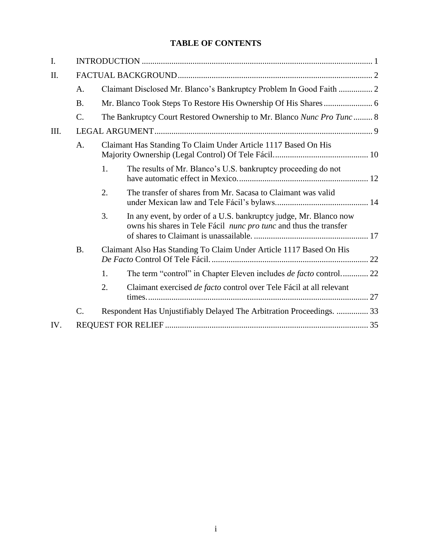## **TABLE OF CONTENTS**

| A.              | Claimant Disclosed Mr. Blanco's Bankruptcy Problem In Good Faith  2   |                                                                                                                                        |                                                                                                                                                   |  |
|-----------------|-----------------------------------------------------------------------|----------------------------------------------------------------------------------------------------------------------------------------|---------------------------------------------------------------------------------------------------------------------------------------------------|--|
| <b>B.</b>       |                                                                       |                                                                                                                                        |                                                                                                                                                   |  |
| $\mathcal{C}$ . | The Bankruptcy Court Restored Ownership to Mr. Blanco Nunc Pro Tunc 8 |                                                                                                                                        |                                                                                                                                                   |  |
|                 |                                                                       |                                                                                                                                        |                                                                                                                                                   |  |
| A.              | Claimant Has Standing To Claim Under Article 1117 Based On His        |                                                                                                                                        |                                                                                                                                                   |  |
|                 | 1.                                                                    | The results of Mr. Blanco's U.S. bankruptcy proceeding do not                                                                          |                                                                                                                                                   |  |
|                 | 2.                                                                    | The transfer of shares from Mr. Sacasa to Claimant was valid                                                                           |                                                                                                                                                   |  |
|                 | 3.                                                                    | In any event, by order of a U.S. bankruptcy judge, Mr. Blanco now<br>owns his shares in Tele Fácil nunc pro tunc and thus the transfer |                                                                                                                                                   |  |
| <b>B.</b>       | Claimant Also Has Standing To Claim Under Article 1117 Based On His   |                                                                                                                                        |                                                                                                                                                   |  |
|                 | 1.                                                                    |                                                                                                                                        |                                                                                                                                                   |  |
|                 | 2.                                                                    | Claimant exercised de facto control over Tele Fácil at all relevant                                                                    |                                                                                                                                                   |  |
| C.              |                                                                       |                                                                                                                                        |                                                                                                                                                   |  |
|                 |                                                                       |                                                                                                                                        |                                                                                                                                                   |  |
|                 |                                                                       |                                                                                                                                        | The term "control" in Chapter Eleven includes <i>de facto</i> control 22<br>Respondent Has Unjustifiably Delayed The Arbitration Proceedings.  33 |  |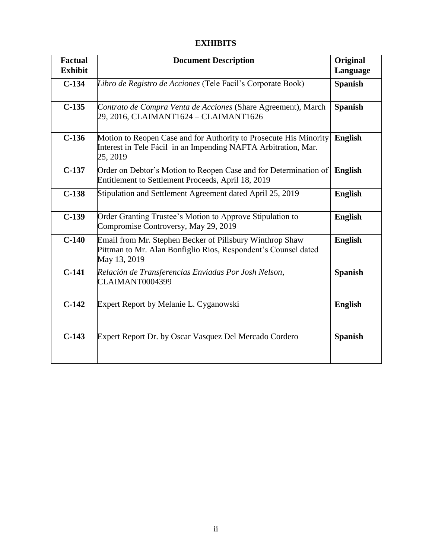## **EXHIBITS**

| <b>Factual</b><br><b>Exhibit</b> | <b>Document Description</b>                                                                                                                     | <b>Original</b><br>Language |
|----------------------------------|-------------------------------------------------------------------------------------------------------------------------------------------------|-----------------------------|
| $C-134$                          | Libro de Registro de Acciones (Tele Facil's Corporate Book)                                                                                     | <b>Spanish</b>              |
| $C-135$                          | Contrato de Compra Venta de Acciones (Share Agreement), March<br>29, 2016, CLAIMANT1624 - CLAIMANT1626                                          | <b>Spanish</b>              |
| $C-136$                          | Motion to Reopen Case and for Authority to Prosecute His Minority<br>Interest in Tele Fácil in an Impending NAFTA Arbitration, Mar.<br>25, 2019 | <b>English</b>              |
| $C-137$                          | Order on Debtor's Motion to Reopen Case and for Determination of<br>Entitlement to Settlement Proceeds, April 18, 2019                          | <b>English</b>              |
| $C-138$                          | Stipulation and Settlement Agreement dated April 25, 2019                                                                                       | <b>English</b>              |
| $C-139$                          | Order Granting Trustee's Motion to Approve Stipulation to<br>Compromise Controversy, May 29, 2019                                               | <b>English</b>              |
| $C-140$                          | Email from Mr. Stephen Becker of Pillsbury Winthrop Shaw<br>Pittman to Mr. Alan Bonfiglio Rios, Respondent's Counsel dated<br>May 13, 2019      | <b>English</b>              |
| $C-141$                          | Relación de Transferencias Enviadas Por Josh Nelson,<br>CLAIMANT0004399                                                                         | <b>Spanish</b>              |
| $C-142$                          | Expert Report by Melanie L. Cyganowski                                                                                                          | <b>English</b>              |
| $C-143$                          | Expert Report Dr. by Oscar Vasquez Del Mercado Cordero                                                                                          | <b>Spanish</b>              |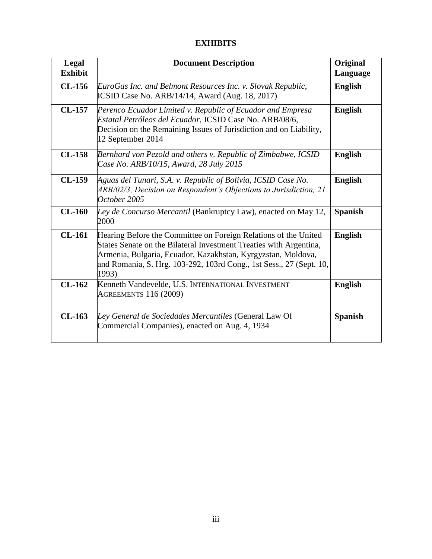## **EXHIBITS**

| Legal<br><b>Exhibit</b> | <b>Document Description</b>                                                                                                                                                                                                                                                           | Original<br>Language |
|-------------------------|---------------------------------------------------------------------------------------------------------------------------------------------------------------------------------------------------------------------------------------------------------------------------------------|----------------------|
| $CL-156$                | EuroGas Inc. and Belmont Resources Inc. v. Slovak Republic,<br><b>ICSID Case No. ARB/14/14, Award (Aug. 18, 2017)</b>                                                                                                                                                                 | <b>English</b>       |
| <b>CL-157</b>           | Perenco Ecuador Limited v. Republic of Ecuador and Empresa<br>Estatal Petróleos del Ecuador, ICSID Case No. ARB/08/6,<br>Decision on the Remaining Issues of Jurisdiction and on Liability,<br>12 September 2014                                                                      | <b>English</b>       |
| <b>CL-158</b>           | Bernhard von Pezold and others v. Republic of Zimbabwe, ICSID<br>Case No. ARB/10/15, Award, 28 July 2015                                                                                                                                                                              | <b>English</b>       |
| $CL-159$                | Aguas del Tunari, S.A. v. Republic of Bolivia, ICSID Case No.<br>ARB/02/3, Decision on Respondent's Objections to Jurisdiction, 21<br>October 2005                                                                                                                                    | <b>English</b>       |
| $CL-160$                | Ley de Concurso Mercantil (Bankruptcy Law), enacted on May 12,<br>2000                                                                                                                                                                                                                | <b>Spanish</b>       |
| $CL-161$                | Hearing Before the Committee on Foreign Relations of the United<br>States Senate on the Bilateral Investment Treaties with Argentina,<br>Armenia, Bulgaria, Ecuador, Kazakhstan, Kyrgyzstan, Moldova,<br>and Romania, S. Hrg. 103-292, 103rd Cong., 1st Sess., 27 (Sept. 10,<br>1993) | <b>English</b>       |
| $CL-162$                | Kenneth Vandevelde, U.S. INTERNATIONAL INVESTMENT<br><b>AGREEMENTS 116 (2009)</b>                                                                                                                                                                                                     | <b>English</b>       |
| $CL-163$                | Ley General de Sociedades Mercantiles (General Law Of<br>Commercial Companies), enacted on Aug. 4, 1934                                                                                                                                                                               | <b>Spanish</b>       |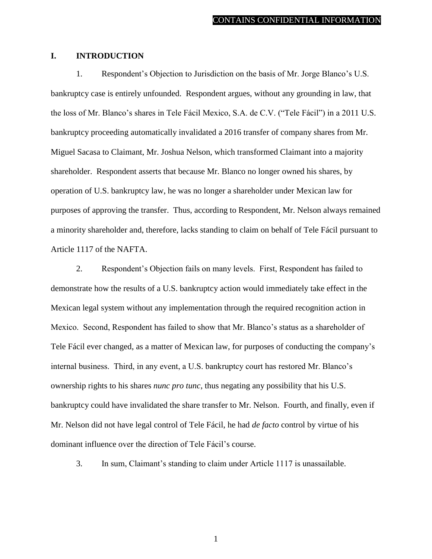#### <span id="page-4-0"></span>**I. INTRODUCTION**

1. Respondent's Objection to Jurisdiction on the basis of Mr. Jorge Blanco's U.S. bankruptcy case is entirely unfounded. Respondent argues, without any grounding in law, that the loss of Mr. Blanco's shares in Tele Fácil Mexico, S.A. de C.V. ("Tele Fácil") in a 2011 U.S. bankruptcy proceeding automatically invalidated a 2016 transfer of company shares from Mr. Miguel Sacasa to Claimant, Mr. Joshua Nelson, which transformed Claimant into a majority shareholder. Respondent asserts that because Mr. Blanco no longer owned his shares, by operation of U.S. bankruptcy law, he was no longer a shareholder under Mexican law for purposes of approving the transfer. Thus, according to Respondent, Mr. Nelson always remained a minority shareholder and, therefore, lacks standing to claim on behalf of Tele Fácil pursuant to Article 1117 of the NAFTA.

2. Respondent's Objection fails on many levels. First, Respondent has failed to demonstrate how the results of a U.S. bankruptcy action would immediately take effect in the Mexican legal system without any implementation through the required recognition action in Mexico. Second, Respondent has failed to show that Mr. Blanco's status as a shareholder of Tele Fácil ever changed, as a matter of Mexican law, for purposes of conducting the company's internal business. Third, in any event, a U.S. bankruptcy court has restored Mr. Blanco's ownership rights to his shares *nunc pro tunc*, thus negating any possibility that his U.S. bankruptcy could have invalidated the share transfer to Mr. Nelson. Fourth, and finally, even if Mr. Nelson did not have legal control of Tele Fácil, he had *de facto* control by virtue of his dominant influence over the direction of Tele Fácil's course.

3. In sum, Claimant's standing to claim under Article 1117 is unassailable.

1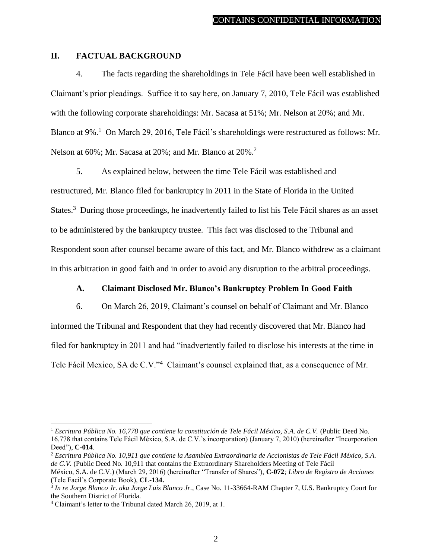### <span id="page-5-0"></span>**II. FACTUAL BACKGROUND**

4. The facts regarding the shareholdings in Tele Fácil have been well established in Claimant's prior pleadings. Suffice it to say here, on January 7, 2010, Tele Fácil was established with the following corporate shareholdings: Mr. Sacasa at 51%; Mr. Nelson at 20%; and Mr. Blanco at 9%.<sup>1</sup> On March 29, 2016, Tele Fácil's shareholdings were restructured as follows: Mr. Nelson at 60%; Mr. Sacasa at 20%; and Mr. Blanco at 20%.<sup>2</sup>

5. As explained below, between the time Tele Fácil was established and restructured, Mr. Blanco filed for bankruptcy in 2011 in the State of Florida in the United States.<sup>3</sup> During those proceedings, he inadvertently failed to list his Tele Fácil shares as an asset to be administered by the bankruptcy trustee. This fact was disclosed to the Tribunal and Respondent soon after counsel became aware of this fact, and Mr. Blanco withdrew as a claimant in this arbitration in good faith and in order to avoid any disruption to the arbitral proceedings.

## **A. Claimant Disclosed Mr. Blanco's Bankruptcy Problem In Good Faith**

<span id="page-5-1"></span>6. On March 26, 2019, Claimant's counsel on behalf of Claimant and Mr. Blanco informed the Tribunal and Respondent that they had recently discovered that Mr. Blanco had filed for bankruptcy in 2011 and had "inadvertently failed to disclose his interests at the time in Tele Fácil Mexico, SA de C.V."<sup>4</sup> Claimant's counsel explained that, as a consequence of Mr.

<sup>1</sup> *Escritura Pública No. 16,778 que contiene la constitución de Tele Fácil México, S.A. de C.V.* (Public Deed No. 16,778 that contains Tele Fácil México, S.A. de C.V.'s incorporation) (January 7, 2010) (hereinafter "Incorporation Deed"), **C-014**.

<sup>2</sup> *Escritura Pública No. 10,911 que contiene la Asamblea Extraordinaria de Accionistas de Tele Fácil México, S.A. de C.V.* (Public Deed No. 10,911 that contains the Extraordinary Shareholders Meeting of Tele Fácil

México, S.A. de C.V.) (March 29, 2016) (hereinafter "Transfer of Shares"), **C-072***; Libro de Registro de Acciones* (Tele Facil's Corporate Book), **CL-134.**

<sup>3</sup> *In re Jorge Blanco Jr. aka Jorge Luis Blanco Jr.*, Case No. 11-33664-RAM Chapter 7, U.S. Bankruptcy Court for the Southern District of Florida.

<sup>4</sup> Claimant's letter to the Tribunal dated March 26, 2019, at 1.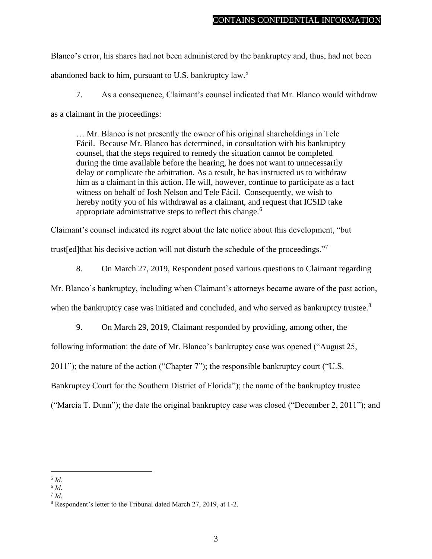Blanco's error, his shares had not been administered by the bankruptcy and, thus, had not been abandoned back to him, pursuant to U.S. bankruptcy law.<sup>5</sup>

7. As a consequence, Claimant's counsel indicated that Mr. Blanco would withdraw

as a claimant in the proceedings:

… Mr. Blanco is not presently the owner of his original shareholdings in Tele Fácil. Because Mr. Blanco has determined, in consultation with his bankruptcy counsel, that the steps required to remedy the situation cannot be completed during the time available before the hearing, he does not want to unnecessarily delay or complicate the arbitration. As a result, he has instructed us to withdraw him as a claimant in this action. He will, however, continue to participate as a fact witness on behalf of Josh Nelson and Tele Fácil. Consequently, we wish to hereby notify you of his withdrawal as a claimant, and request that ICSID take appropriate administrative steps to reflect this change.<sup>6</sup>

Claimant's counsel indicated its regret about the late notice about this development, "but

trust[ed]that his decisive action will not disturb the schedule of the proceedings."<sup>7</sup>

8. On March 27, 2019, Respondent posed various questions to Claimant regarding

Mr. Blanco's bankruptcy, including when Claimant's attorneys became aware of the past action,

when the bankruptcy case was initiated and concluded, and who served as bankruptcy trustee.<sup>8</sup>

9. On March 29, 2019, Claimant responded by providing, among other, the

following information: the date of Mr. Blanco's bankruptcy case was opened ("August 25,

2011"); the nature of the action ("Chapter 7"); the responsible bankruptcy court ("U.S.

Bankruptcy Court for the Southern District of Florida"); the name of the bankruptcy trustee

("Marcia T. Dunn"); the date the original bankruptcy case was closed ("December 2, 2011"); and

7 *Id.*

 $\overline{a}$ 5 *Id.*

<sup>6</sup> *Id.*

<sup>8</sup> Respondent's letter to the Tribunal dated March 27, 2019, at 1-2.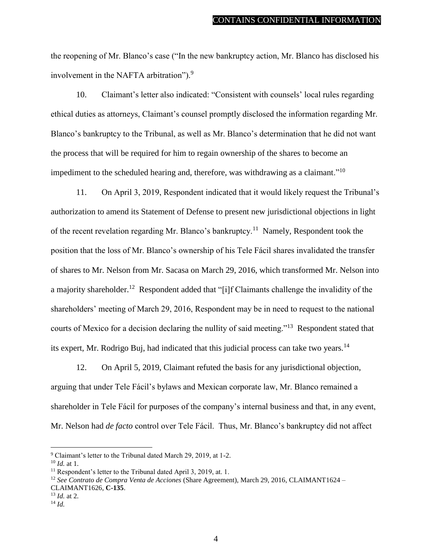the reopening of Mr. Blanco's case ("In the new bankruptcy action, Mr. Blanco has disclosed his involvement in the NAFTA arbitration").<sup>9</sup>

10. Claimant's letter also indicated: "Consistent with counsels' local rules regarding ethical duties as attorneys, Claimant's counsel promptly disclosed the information regarding Mr. Blanco's bankruptcy to the Tribunal, as well as Mr. Blanco's determination that he did not want the process that will be required for him to regain ownership of the shares to become an impediment to the scheduled hearing and, therefore, was withdrawing as a claimant."<sup>10</sup>

11. On April 3, 2019, Respondent indicated that it would likely request the Tribunal's authorization to amend its Statement of Defense to present new jurisdictional objections in light of the recent revelation regarding Mr. Blanco's bankruptcy.<sup>11</sup> Namely, Respondent took the position that the loss of Mr. Blanco's ownership of his Tele Fácil shares invalidated the transfer of shares to Mr. Nelson from Mr. Sacasa on March 29, 2016, which transformed Mr. Nelson into a majority shareholder.<sup>12</sup> Respondent added that "[i]f Claimants challenge the invalidity of the shareholders' meeting of March 29, 2016, Respondent may be in need to request to the national courts of Mexico for a decision declaring the nullity of said meeting."<sup>13</sup> Respondent stated that its expert, Mr. Rodrigo Buj, had indicated that this judicial process can take two years.<sup>14</sup>

12. On April 5, 2019, Claimant refuted the basis for any jurisdictional objection, arguing that under Tele Fácil's bylaws and Mexican corporate law, Mr. Blanco remained a shareholder in Tele Fácil for purposes of the company's internal business and that, in any event, Mr. Nelson had *de facto* control over Tele Fácil. Thus, Mr. Blanco's bankruptcy did not affect

 $\overline{a}$ 

<sup>12</sup> *See Contrato de Compra Venta de Acciones* (Share Agreement), March 29, 2016, CLAIMANT1624 –

CLAIMANT1626, **C-135**.

<sup>9</sup> Claimant's letter to the Tribunal dated March 29, 2019, at 1-2.

<sup>10</sup> *Id.* at 1.

<sup>&</sup>lt;sup>11</sup> Respondent's letter to the Tribunal dated April 3, 2019, at. 1.

<sup>13</sup> *Id.* at 2.

<sup>14</sup> *Id.*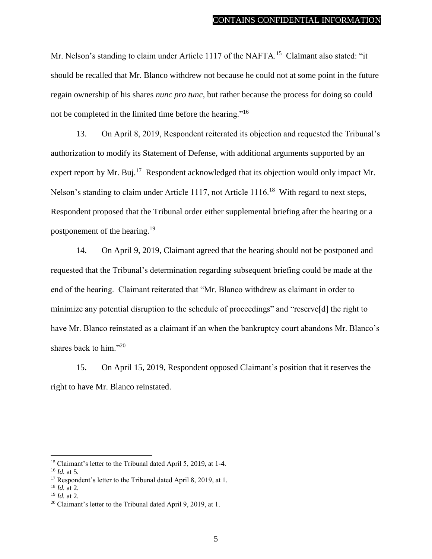Mr. Nelson's standing to claim under Article 1117 of the NAFTA.<sup>15</sup> Claimant also stated: "it should be recalled that Mr. Blanco withdrew not because he could not at some point in the future regain ownership of his shares *nunc pro tunc*, but rather because the process for doing so could not be completed in the limited time before the hearing."<sup>16</sup>

13. On April 8, 2019, Respondent reiterated its objection and requested the Tribunal's authorization to modify its Statement of Defense, with additional arguments supported by an expert report by Mr. Buj.<sup>17</sup> Respondent acknowledged that its objection would only impact Mr. Nelson's standing to claim under Article 1117, not Article 1116.<sup>18</sup> With regard to next steps, Respondent proposed that the Tribunal order either supplemental briefing after the hearing or a postponement of the hearing.<sup>19</sup>

14. On April 9, 2019, Claimant agreed that the hearing should not be postponed and requested that the Tribunal's determination regarding subsequent briefing could be made at the end of the hearing. Claimant reiterated that "Mr. Blanco withdrew as claimant in order to minimize any potential disruption to the schedule of proceedings" and "reserve[d] the right to have Mr. Blanco reinstated as a claimant if an when the bankruptcy court abandons Mr. Blanco's shares back to him."<sup>20</sup>

15. On April 15, 2019, Respondent opposed Claimant's position that it reserves the right to have Mr. Blanco reinstated.

<sup>&</sup>lt;sup>15</sup> Claimant's letter to the Tribunal dated April 5, 2019, at 1-4.

<sup>16</sup> *Id.* at 5.

<sup>&</sup>lt;sup>17</sup> Respondent's letter to the Tribunal dated April 8, 2019, at 1.

<sup>18</sup> *Id.* at 2.

<sup>19</sup> *Id.* at 2.

<sup>&</sup>lt;sup>20</sup> Claimant's letter to the Tribunal dated April 9, 2019, at 1.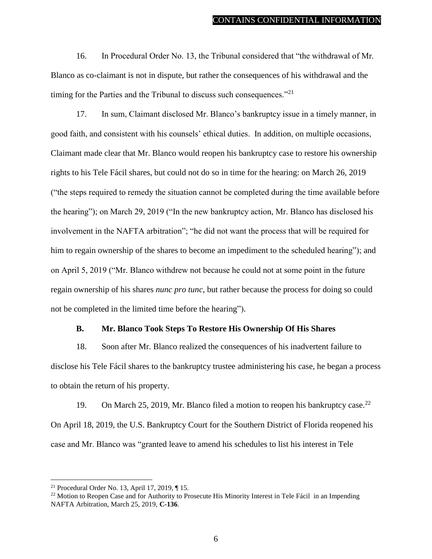16. In Procedural Order No. 13, the Tribunal considered that "the withdrawal of Mr. Blanco as co-claimant is not in dispute, but rather the consequences of his withdrawal and the timing for the Parties and the Tribunal to discuss such consequences. $^{221}$ 

17. In sum, Claimant disclosed Mr. Blanco's bankruptcy issue in a timely manner, in good faith, and consistent with his counsels' ethical duties. In addition, on multiple occasions, Claimant made clear that Mr. Blanco would reopen his bankruptcy case to restore his ownership rights to his Tele Fácil shares, but could not do so in time for the hearing: on March 26, 2019 ("the steps required to remedy the situation cannot be completed during the time available before the hearing"); on March 29, 2019 ("In the new bankruptcy action, Mr. Blanco has disclosed his involvement in the NAFTA arbitration"; "he did not want the process that will be required for him to regain ownership of the shares to become an impediment to the scheduled hearing"); and on April 5, 2019 ("Mr. Blanco withdrew not because he could not at some point in the future regain ownership of his shares *nunc pro tunc*, but rather because the process for doing so could not be completed in the limited time before the hearing").

#### **B. Mr. Blanco Took Steps To Restore His Ownership Of His Shares**

<span id="page-9-0"></span>18. Soon after Mr. Blanco realized the consequences of his inadvertent failure to disclose his Tele Fácil shares to the bankruptcy trustee administering his case, he began a process to obtain the return of his property.

19. On March 25, 2019, Mr. Blanco filed a motion to reopen his bankruptcy case.<sup>22</sup> On April 18, 2019, the U.S. Bankruptcy Court for the Southern District of Florida reopened his case and Mr. Blanco was "granted leave to amend his schedules to list his interest in Tele

<sup>21</sup> Procedural Order No. 13, April 17, 2019, ¶ 15.

<sup>&</sup>lt;sup>22</sup> Motion to Reopen Case and for Authority to Prosecute His Minority Interest in Tele Fácil in an Impending NAFTA Arbitration, March 25, 2019, **C-136**.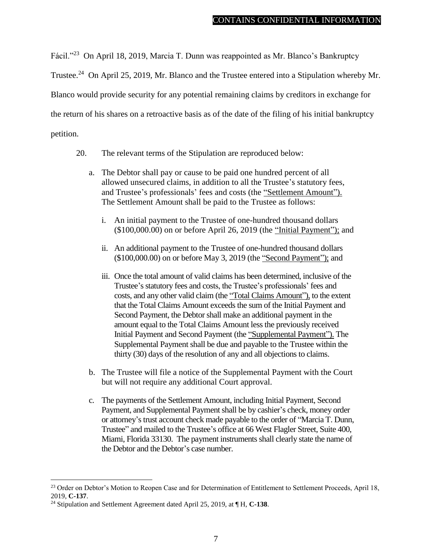Fácil."<sup>23</sup> On April 18, 2019, Marcia T. Dunn was reappointed as Mr. Blanco's Bankruptcy

Trustee.<sup>24</sup> On April 25, 2019, Mr. Blanco and the Trustee entered into a Stipulation whereby Mr.

Blanco would provide security for any potential remaining claims by creditors in exchange for

the return of his shares on a retroactive basis as of the date of the filing of his initial bankruptcy

petition.

- 20. The relevant terms of the Stipulation are reproduced below:
	- a. The Debtor shall pay or cause to be paid one hundred percent of all allowed unsecured claims, in addition to all the Trustee's statutory fees, and Trustee's professionals' fees and costs (the "Settlement Amount"). The Settlement Amount shall be paid to the Trustee as follows:
		- i. An initial payment to the Trustee of one-hundred thousand dollars (\$100,000.00) on or before April 26, 2019 (the "Initial Payment"); and
		- ii. An additional payment to the Trustee of one-hundred thousand dollars (\$100,000.00) on or before May 3, 2019 (the "Second Payment"); and
		- iii. Once the total amount of valid claims has been determined, inclusive of the Trustee's statutory fees and costs, the Trustee's professionals' fees and costs, and any other valid claim (the "Total Claims Amount"), to the extent that the Total Claims Amount exceeds the sum of the Initial Payment and Second Payment, the Debtor shall make an additional payment in the amount equal to the Total Claims Amount less the previously received Initial Payment and Second Payment (the "Supplemental Payment"). The Supplemental Payment shall be due and payable to the Trustee within the thirty (30) days of the resolution of any and all objections to claims.
	- b. The Trustee will file a notice of the Supplemental Payment with the Court but will not require any additional Court approval.
	- c. The payments of the Settlement Amount, including Initial Payment, Second Payment, and Supplemental Payment shall be by cashier's check, money order or attorney's trust account check made payable to the order of "Marcia T. Dunn, Trustee" and mailed to the Trustee's office at 66 West Flagler Street, Suite 400, Miami, Florida 33130. The payment instruments shall clearly state the name of the Debtor and the Debtor's case number.

<sup>&</sup>lt;sup>23</sup> Order on Debtor's Motion to Reopen Case and for Determination of Entitlement to Settlement Proceeds, April 18, 2019, **C-137**.

<sup>24</sup> Stipulation and Settlement Agreement dated April 25, 2019, at ¶ H, **C-138**.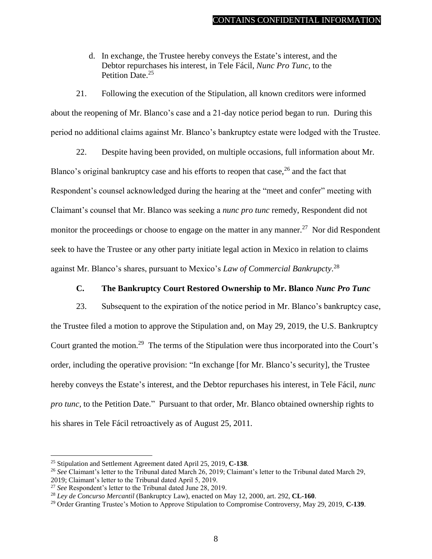d. In exchange, the Trustee hereby conveys the Estate's interest, and the Debtor repurchases his interest, in Tele Fácil, *Nunc Pro Tunc,* to the Petition Date<sup>25</sup>

21. Following the execution of the Stipulation, all known creditors were informed about the reopening of Mr. Blanco's case and a 21-day notice period began to run. During this period no additional claims against Mr. Blanco's bankruptcy estate were lodged with the Trustee.

22. Despite having been provided, on multiple occasions, full information about Mr. Blanco's original bankruptcy case and his efforts to reopen that case,<sup>26</sup> and the fact that Respondent's counsel acknowledged during the hearing at the "meet and confer" meeting with Claimant's counsel that Mr. Blanco was seeking a *nunc pro tunc* remedy, Respondent did not monitor the proceedings or choose to engage on the matter in any manner.<sup>27</sup> Nor did Respondent seek to have the Trustee or any other party initiate legal action in Mexico in relation to claims against Mr. Blanco's shares, pursuant to Mexico's *Law of Commercial Bankrupcty*. 28

## **C. The Bankruptcy Court Restored Ownership to Mr. Blanco** *Nunc Pro Tunc*

<span id="page-11-0"></span>23. Subsequent to the expiration of the notice period in Mr. Blanco's bankruptcy case, the Trustee filed a motion to approve the Stipulation and, on May 29, 2019, the U.S. Bankruptcy Court granted the motion.<sup>29</sup> The terms of the Stipulation were thus incorporated into the Court's order, including the operative provision: "In exchange [for Mr. Blanco's security], the Trustee hereby conveys the Estate's interest, and the Debtor repurchases his interest, in Tele Fácil, *nunc pro tunc,* to the Petition Date." Pursuant to that order, Mr. Blanco obtained ownership rights to his shares in Tele Fácil retroactively as of August 25, 2011.

<sup>25</sup> Stipulation and Settlement Agreement dated April 25, 2019, **C-138**.

<sup>26</sup> *See* Claimant's letter to the Tribunal dated March 26, 2019; Claimant's letter to the Tribunal dated March 29, 2019; Claimant's letter to the Tribunal dated April 5, 2019.

<sup>27</sup> *See* Respondent's letter to the Tribunal dated June 28, 2019.

<sup>28</sup> *Ley de Concurso Mercantil* (Bankruptcy Law), enacted on May 12, 2000, art. 292, **CL-160**.

<sup>29</sup> Order Granting Trustee's Motion to Approve Stipulation to Compromise Controversy, May 29, 2019, **C-139**.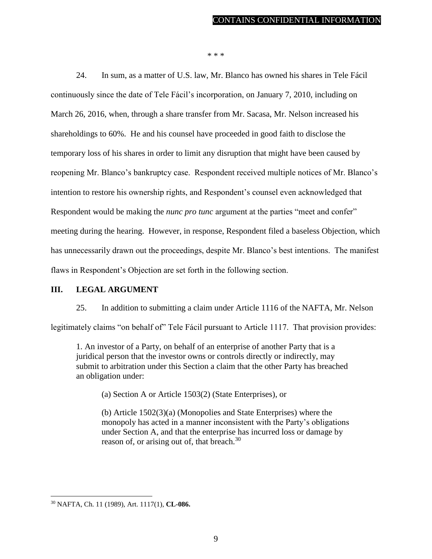\* \* \*

24. In sum, as a matter of U.S. law, Mr. Blanco has owned his shares in Tele Fácil continuously since the date of Tele Fácil's incorporation, on January 7, 2010, including on March 26, 2016, when, through a share transfer from Mr. Sacasa, Mr. Nelson increased his shareholdings to 60%. He and his counsel have proceeded in good faith to disclose the temporary loss of his shares in order to limit any disruption that might have been caused by reopening Mr. Blanco's bankruptcy case. Respondent received multiple notices of Mr. Blanco's intention to restore his ownership rights, and Respondent's counsel even acknowledged that Respondent would be making the *nunc pro tunc* argument at the parties "meet and confer" meeting during the hearing. However, in response, Respondent filed a baseless Objection, which has unnecessarily drawn out the proceedings, despite Mr. Blanco's best intentions. The manifest flaws in Respondent's Objection are set forth in the following section.

### <span id="page-12-0"></span>**III. LEGAL ARGUMENT**

25. In addition to submitting a claim under Article 1116 of the NAFTA, Mr. Nelson

legitimately claims "on behalf of" Tele Fácil pursuant to Article 1117. That provision provides:

1. An investor of a Party, on behalf of an enterprise of another Party that is a juridical person that the investor owns or controls directly or indirectly, may submit to arbitration under this Section a claim that the other Party has breached an obligation under:

(a) Section A or Article 1503(2) (State Enterprises), or

(b) Article 1502(3)(a) (Monopolies and State Enterprises) where the monopoly has acted in a manner inconsistent with the Party's obligations under Section A, and that the enterprise has incurred loss or damage by reason of, or arising out of, that breach.<sup>30</sup>

<sup>30</sup> NAFTA, Ch. 11 (1989), Art. 1117(1), **CL-086.**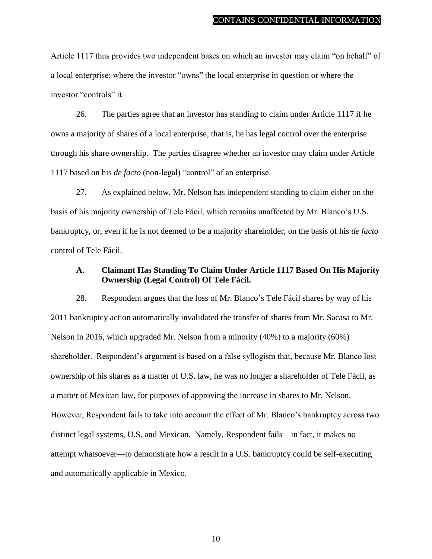Article 1117 thus provides two independent bases on which an investor may claim "on behalf" of a local enterprise: where the investor "owns" the local enterprise in question or where the investor "controls" it.

26. The parties agree that an investor has standing to claim under Article 1117 if he owns a majority of shares of a local enterprise, that is, he has legal control over the enterprise through his share ownership. The parties disagree whether an investor may claim under Article 1117 based on his *de facto* (non-legal) "control" of an enterprise.

27. As explained below, Mr. Nelson has independent standing to claim either on the basis of his majority ownership of Tele Fácil, which remains unaffected by Mr. Blanco's U.S. bankruptcy, or, even if he is not deemed to be a majority shareholder, on the basis of his *de facto*  control of Tele Fácil.

#### <span id="page-13-0"></span>**A. Claimant Has Standing To Claim Under Article 1117 Based On His Majority Ownership (Legal Control) Of Tele Fácil.**

28. Respondent argues that the loss of Mr. Blanco's Tele Fácil shares by way of his 2011 bankruptcy action automatically invalidated the transfer of shares from Mr. Sacasa to Mr. Nelson in 2016, which upgraded Mr. Nelson from a minority (40%) to a majority (60%) shareholder. Respondent's argument is based on a false syllogism that, because Mr. Blanco lost ownership of his shares as a matter of U.S. law, he was no longer a shareholder of Tele Fácil, as a matter of Mexican law, for purposes of approving the increase in shares to Mr. Nelson. However, Respondent fails to take into account the effect of Mr. Blanco's bankruptcy across two distinct legal systems, U.S. and Mexican. Namely, Respondent fails—in fact, it makes no attempt whatsoever—to demonstrate how a result in a U.S. bankruptcy could be self-executing and automatically applicable in Mexico.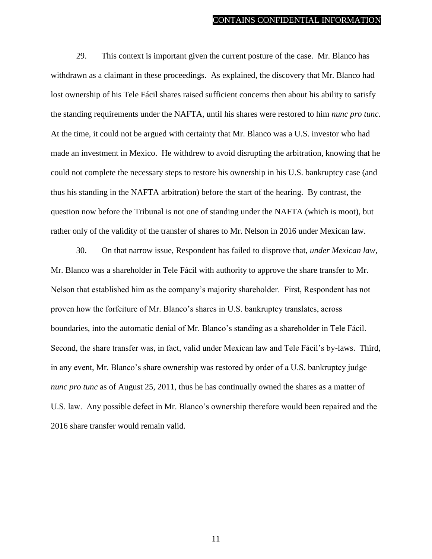29. This context is important given the current posture of the case. Mr. Blanco has withdrawn as a claimant in these proceedings. As explained, the discovery that Mr. Blanco had lost ownership of his Tele Fácil shares raised sufficient concerns then about his ability to satisfy the standing requirements under the NAFTA, until his shares were restored to him *nunc pro tunc*. At the time, it could not be argued with certainty that Mr. Blanco was a U.S. investor who had made an investment in Mexico. He withdrew to avoid disrupting the arbitration, knowing that he could not complete the necessary steps to restore his ownership in his U.S. bankruptcy case (and thus his standing in the NAFTA arbitration) before the start of the hearing. By contrast, the question now before the Tribunal is not one of standing under the NAFTA (which is moot), but rather only of the validity of the transfer of shares to Mr. Nelson in 2016 under Mexican law.

30. On that narrow issue, Respondent has failed to disprove that, *under Mexican law*, Mr. Blanco was a shareholder in Tele Fácil with authority to approve the share transfer to Mr. Nelson that established him as the company's majority shareholder. First, Respondent has not proven how the forfeiture of Mr. Blanco's shares in U.S. bankruptcy translates, across boundaries, into the automatic denial of Mr. Blanco's standing as a shareholder in Tele Fácil. Second, the share transfer was, in fact, valid under Mexican law and Tele Fácil's by-laws. Third, in any event, Mr. Blanco's share ownership was restored by order of a U.S. bankruptcy judge *nunc pro tunc* as of August 25, 2011, thus he has continually owned the shares as a matter of U.S. law. Any possible defect in Mr. Blanco's ownership therefore would been repaired and the 2016 share transfer would remain valid.

11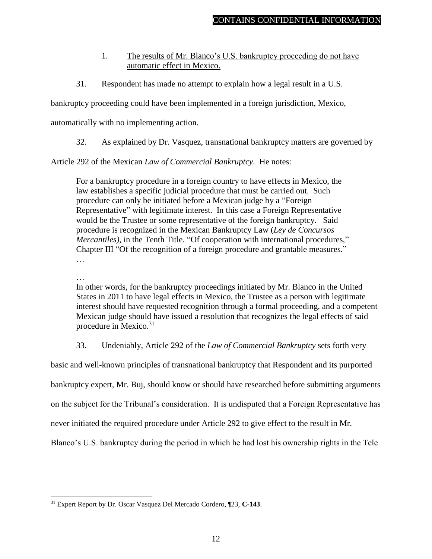- 1. The results of Mr. Blanco's U.S. bankruptcy proceeding do not have automatic effect in Mexico.
- <span id="page-15-0"></span>31. Respondent has made no attempt to explain how a legal result in a U.S.

bankruptcy proceeding could have been implemented in a foreign jurisdiction, Mexico,

automatically with no implementing action.

32. As explained by Dr. Vasquez, transnational bankruptcy matters are governed by

Article 292 of the Mexican *Law of Commercial Bankruptcy*. He notes:

For a bankruptcy procedure in a foreign country to have effects in Mexico, the law establishes a specific judicial procedure that must be carried out. Such procedure can only be initiated before a Mexican judge by a "Foreign Representative" with legitimate interest. In this case a Foreign Representative would be the Trustee or some representative of the foreign bankruptcy. Said procedure is recognized in the Mexican Bankruptcy Law (*Ley de Concursos Mercantiles)*, in the Tenth Title. "Of cooperation with international procedures," Chapter III "Of the recognition of a foreign procedure and grantable measures." …

…

 $\overline{a}$ 

In other words, for the bankruptcy proceedings initiated by Mr. Blanco in the United States in 2011 to have legal effects in Mexico, the Trustee as a person with legitimate interest should have requested recognition through a formal proceeding, and a competent Mexican judge should have issued a resolution that recognizes the legal effects of said procedure in Mexico. 31

33. Undeniably, Article 292 of the *Law of Commercial Bankruptcy* sets forth very

basic and well-known principles of transnational bankruptcy that Respondent and its purported bankruptcy expert, Mr. Buj, should know or should have researched before submitting arguments on the subject for the Tribunal's consideration. It is undisputed that a Foreign Representative has never initiated the required procedure under Article 292 to give effect to the result in Mr.

Blanco's U.S. bankruptcy during the period in which he had lost his ownership rights in the Tele

<sup>31</sup> Expert Report by Dr. Oscar Vasquez Del Mercado Cordero, ¶23, **C-143**.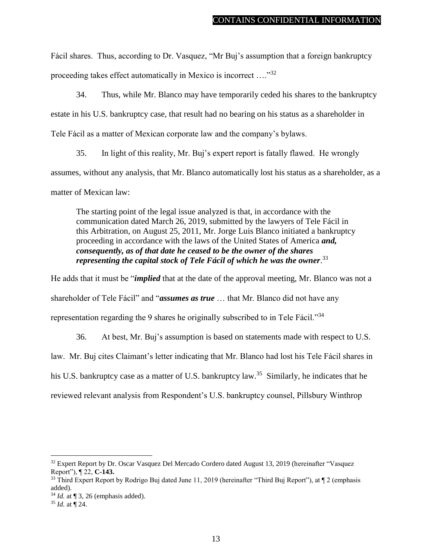Fácil shares. Thus, according to Dr. Vasquez, "Mr Buj's assumption that a foreign bankruptcy proceeding takes effect automatically in Mexico is incorrect ...."<sup>32</sup>

34. Thus, while Mr. Blanco may have temporarily ceded his shares to the bankruptcy estate in his U.S. bankruptcy case, that result had no bearing on his status as a shareholder in Tele Fácil as a matter of Mexican corporate law and the company's bylaws.

35. In light of this reality, Mr. Buj's expert report is fatally flawed. He wrongly assumes, without any analysis, that Mr. Blanco automatically lost his status as a shareholder, as a matter of Mexican law:

The starting point of the legal issue analyzed is that, in accordance with the communication dated March 26, 2019, submitted by the lawyers of Tele Fácil in this Arbitration, on August 25, 2011, Mr. Jorge Luis Blanco initiated a bankruptcy proceeding in accordance with the laws of the United States of America *and, consequently, as of that date he ceased to be the owner of the shares representing the capital stock of Tele Fácil of which he was the owner*. 33

He adds that it must be "*implied* that at the date of the approval meeting, Mr. Blanco was not a shareholder of Tele Fácil" and "*assumes as true* … that Mr. Blanco did not have any representation regarding the 9 shares he originally subscribed to in Tele Fácil."<sup>34</sup>

36. At best, Mr. Buj's assumption is based on statements made with respect to U.S.

law. Mr. Buj cites Claimant's letter indicating that Mr. Blanco had lost his Tele Fácil shares in

his U.S. bankruptcy case as a matter of U.S. bankruptcy law.<sup>35</sup> Similarly, he indicates that he

reviewed relevant analysis from Respondent's U.S. bankruptcy counsel, Pillsbury Winthrop

<sup>&</sup>lt;sup>32</sup> Expert Report by Dr. Oscar Vasquez Del Mercado Cordero dated August 13, 2019 (hereinafter "Vasquez Report"), ¶ 22, **C-143.**

<sup>&</sup>lt;sup>33</sup> Third Expert Report by Rodrigo Buj dated June 11, 2019 (hereinafter "Third Buj Report"), at ¶ 2 (emphasis added).

 $34$  *Id.* at  $\P$  3, 26 (emphasis added).

<sup>35</sup> *Id.* at ¶ 24.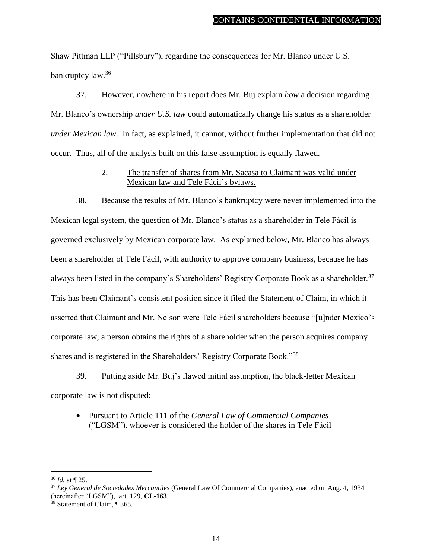Shaw Pittman LLP ("Pillsbury"), regarding the consequences for Mr. Blanco under U.S. bankruptcy law.<sup>36</sup>

37. However, nowhere in his report does Mr. Buj explain *how* a decision regarding Mr. Blanco's ownership *under U.S. law* could automatically change his status as a shareholder *under Mexican law*. In fact, as explained, it cannot, without further implementation that did not occur. Thus, all of the analysis built on this false assumption is equally flawed.

> 2. The transfer of shares from Mr. Sacasa to Claimant was valid under Mexican law and Tele Fácil's bylaws.

<span id="page-17-0"></span>38. Because the results of Mr. Blanco's bankruptcy were never implemented into the Mexican legal system, the question of Mr. Blanco's status as a shareholder in Tele Fácil is governed exclusively by Mexican corporate law. As explained below, Mr. Blanco has always been a shareholder of Tele Fácil, with authority to approve company business, because he has always been listed in the company's Shareholders' Registry Corporate Book as a shareholder.<sup>37</sup> This has been Claimant's consistent position since it filed the Statement of Claim, in which it asserted that Claimant and Mr. Nelson were Tele Fácil shareholders because "[u]nder Mexico's corporate law, a person obtains the rights of a shareholder when the person acquires company shares and is registered in the Shareholders' Registry Corporate Book."<sup>38</sup>

39. Putting aside Mr. Buj's flawed initial assumption, the black-letter Mexican corporate law is not disputed:

 Pursuant to Article 111 of the *General Law of Commercial Companies*  ("LGSM"), whoever is considered the holder of the shares in Tele Fácil

<sup>36</sup> *Id.* at ¶ 25.

<sup>37</sup> *Ley General de Sociedades Mercantiles* (General Law Of Commercial Companies), enacted on Aug. 4, 1934 (hereinafter "LGSM"), art. 129, **CL-163**.

<sup>38</sup> Statement of Claim, ¶ 365.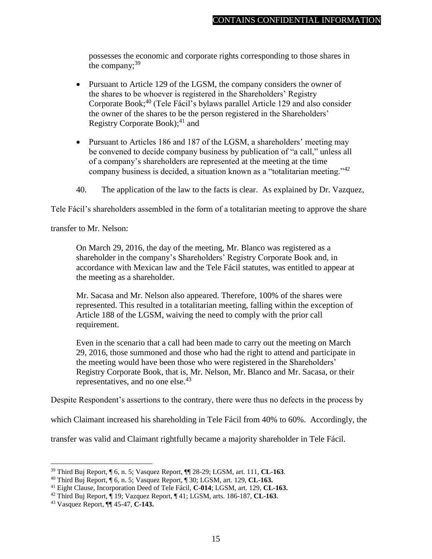possesses the economic and corporate rights corresponding to those shares in the company; $39$ 

- Pursuant to Article 129 of the LGSM, the company considers the owner of the shares to be whoever is registered in the Shareholders' Registry Corporate Book;<sup>40</sup> (Tele Fácil's bylaws parallel Article 129 and also consider the owner of the shares to be the person registered in the Shareholders' Registry Corporate Book); $41$  and
- Pursuant to Articles 186 and 187 of the LGSM, a shareholders' meeting may be convened to decide company business by publication of "a call," unless all of a company's shareholders are represented at the meeting at the time company business is decided, a situation known as a "totalitarian meeting."<sup>42</sup>
- 40. The application of the law to the facts is clear. As explained by Dr. Vazquez,

Tele Fácil's shareholders assembled in the form of a totalitarian meeting to approve the share

transfer to Mr. Nelson:

On March 29, 2016, the day of the meeting, Mr. Blanco was registered as a shareholder in the company's Shareholders' Registry Corporate Book and, in accordance with Mexican law and the Tele Fácil statutes, was entitled to appear at the meeting as a shareholder.

Mr. Sacasa and Mr. Nelson also appeared. Therefore, 100% of the shares were represented. This resulted in a totalitarian meeting, falling within the exception of Article 188 of the LGSM, waiving the need to comply with the prior call requirement.

Even in the scenario that a call had been made to carry out the meeting on March 29, 2016, those summoned and those who had the right to attend and participate in the meeting would have been those who were registered in the Shareholders' Registry Corporate Book, that is, Mr. Nelson, Mr. Blanco and Mr. Sacasa, or their representatives, and no one else. $43$ 

Despite Respondent's assertions to the contrary, there were thus no defects in the process by

which Claimant increased his shareholding in Tele Fácil from 40% to 60%. Accordingly, the

transfer was valid and Claimant rightfully became a majority shareholder in Tele Fácil.

<sup>39</sup> Third Buj Report, ¶ 6, n. 5; Vasquez Report, ¶¶ 28-29; LGSM, art. 111, **CL-163**.

<sup>40</sup> Third Buj Report, ¶ 6, n. 5; Vasquez Report, ¶ 30; LGSM, art. 129, **CL-163.**

<sup>41</sup> Eight Clause, Incorporation Deed of Tele Fácil, **C-014**; LGSM, art. 129, **CL-163.**

<sup>42</sup> Third Buj Report, ¶ 19; Vazquez Report, ¶ 41; LGSM, arts. 186-187, **CL-163**.

<sup>43</sup> Vasquez Report, ¶¶ 45-47, **C-143.**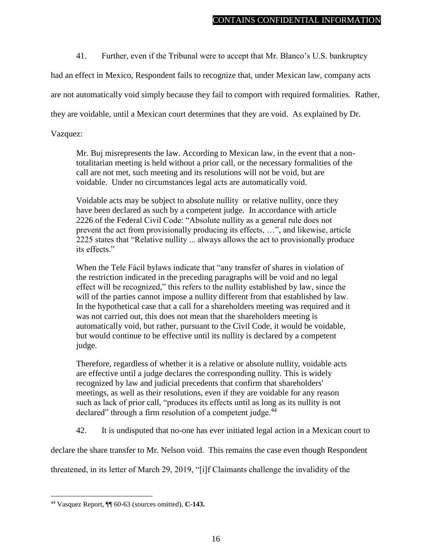41. Further, even if the Tribunal were to accept that Mr. Blanco's U.S. bankruptcy

had an effect in Mexico, Respondent fails to recognize that, under Mexican law, company acts

are not automatically void simply because they fail to comport with required formalities. Rather,

they are voidable, until a Mexican court determines that they are void. As explained by Dr.

Vazquez:

Mr. Buj misrepresents the law. According to Mexican law, in the event that a nontotalitarian meeting is held without a prior call, or the necessary formalities of the call are not met, such meeting and its resolutions will not be void, but are voidable. Under no circumstances legal acts are automatically void.

Voidable acts may be subject to absolute nullity or relative nullity, once they have been declared as such by a competent judge. In accordance with article 2226 of the Federal Civil Code: "Absolute nullity as a general rule does not prevent the act from provisionally producing its effects, …", and likewise, article 2225 states that "Relative nullity ... always allows the act to provisionally produce its effects."

When the Tele Fácil bylaws indicate that "any transfer of shares in violation of the restriction indicated in the preceding paragraphs will be void and no legal effect will be recognized," this refers to the nullity established by law, since the will of the parties cannot impose a nullity different from that established by law. In the hypothetical case that a call for a shareholders meeting was required and it was not carried out, this does not mean that the shareholders meeting is automatically void, but rather, pursuant to the Civil Code, it would be voidable, but would continue to be effective until its nullity is declared by a competent judge.

Therefore, regardless of whether it is a relative or absolute nullity, voidable acts are effective until a judge declares the corresponding nullity. This is widely recognized by law and judicial precedents that confirm that shareholders' meetings, as well as their resolutions, even if they are voidable for any reason such as lack of prior call, "produces its effects until as long as its nullity is not declared" through a firm resolution of a competent judge. $^{44}$ 

42. It is undisputed that no-one has ever initiated legal action in a Mexican court to

declare the share transfer to Mr. Nelson void. This remains the case even though Respondent

threatened, in its letter of March 29, 2019, "[i]f Claimants challenge the invalidity of the

<sup>44</sup> Vasquez Report, ¶¶ 60-63 (sources omitted), **C-143.**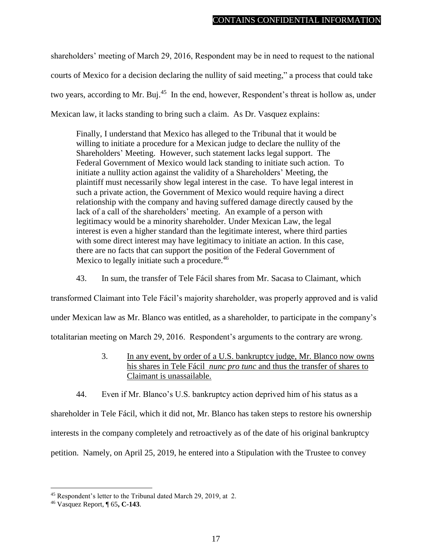shareholders' meeting of March 29, 2016, Respondent may be in need to request to the national courts of Mexico for a decision declaring the nullity of said meeting," a process that could take two years, according to Mr. Buj.<sup>45</sup> In the end, however, Respondent's threat is hollow as, under Mexican law, it lacks standing to bring such a claim. As Dr. Vasquez explains:

Finally, I understand that Mexico has alleged to the Tribunal that it would be willing to initiate a procedure for a Mexican judge to declare the nullity of the Shareholders' Meeting. However, such statement lacks legal support. The Federal Government of Mexico would lack standing to initiate such action. To initiate a nullity action against the validity of a Shareholders' Meeting, the plaintiff must necessarily show legal interest in the case. To have legal interest in such a private action, the Government of Mexico would require having a direct relationship with the company and having suffered damage directly caused by the lack of a call of the shareholders' meeting. An example of a person with legitimacy would be a minority shareholder. Under Mexican Law, the legal interest is even a higher standard than the legitimate interest, where third parties with some direct interest may have legitimacy to initiate an action. In this case, there are no facts that can support the position of the Federal Government of Mexico to legally initiate such a procedure.<sup>46</sup>

43. In sum, the transfer of Tele Fácil shares from Mr. Sacasa to Claimant, which

transformed Claimant into Tele Fácil's majority shareholder, was properly approved and is valid under Mexican law as Mr. Blanco was entitled, as a shareholder, to participate in the company's totalitarian meeting on March 29, 2016. Respondent's arguments to the contrary are wrong.

- 3. In any event, by order of a U.S. bankruptcy judge, Mr. Blanco now owns his shares in Tele Fácil *nunc pro tunc* and thus the transfer of shares to Claimant is unassailable.
- <span id="page-20-0"></span>44. Even if Mr. Blanco's U.S. bankruptcy action deprived him of his status as a

shareholder in Tele Fácil, which it did not, Mr. Blanco has taken steps to restore his ownership interests in the company completely and retroactively as of the date of his original bankruptcy petition. Namely, on April 25, 2019, he entered into a Stipulation with the Trustee to convey

<sup>45</sup> Respondent's letter to the Tribunal dated March 29, 2019, at 2.

<sup>46</sup> Vasquez Report, ¶ 65**, C-143**.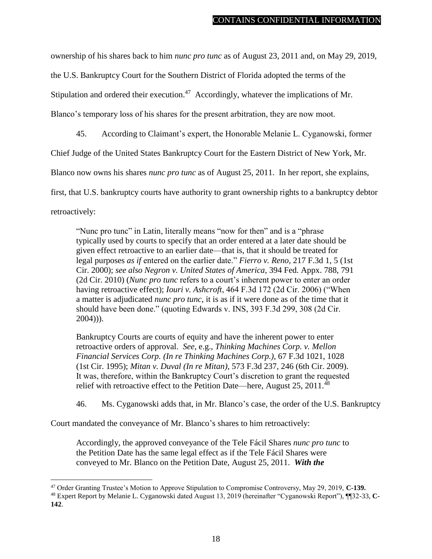ownership of his shares back to him *nunc pro tunc* as of August 23, 2011 and, on May 29, 2019,

the U.S. Bankruptcy Court for the Southern District of Florida adopted the terms of the

Stipulation and ordered their execution.<sup>47</sup> Accordingly, whatever the implications of Mr.

Blanco's temporary loss of his shares for the present arbitration, they are now moot.

45. According to Claimant's expert, the Honorable Melanie L. Cyganowski, former

Chief Judge of the United States Bankruptcy Court for the Eastern District of New York, Mr.

Blanco now owns his shares *nunc pro tunc* as of August 25, 2011. In her report, she explains,

first, that U.S. bankruptcy courts have authority to grant ownership rights to a bankruptcy debtor

retroactively:

 $\overline{a}$ 

"Nunc pro tunc" in Latin, literally means "now for then" and is a "phrase typically used by courts to specify that an order entered at a later date should be given effect retroactive to an earlier date—that is, that it should be treated for legal purposes *as if* entered on the earlier date." *Fierro v. Reno*, 217 F.3d 1, 5 (1st Cir. 2000); *see also Negron v. United States of America*, 394 Fed. Appx. 788, 791 (2d Cir. 2010) (*Nunc pro tunc* refers to a court's inherent power to enter an order having retroactive effect); *Iouri v. Ashcroft*, 464 F.3d 172 (2d Cir. 2006) ("When a matter is adjudicated *nunc pro tunc*, it is as if it were done as of the time that it should have been done." (quoting Edwards v. INS, 393 F.3d 299, 308 (2d Cir. 2004))).

Bankruptcy Courts are courts of equity and have the inherent power to enter retroactive orders of approval. *See*, e.g., *Thinking Machines Corp. v. Mellon Financial Services Corp. (In re Thinking Machines Corp.)*, 67 F.3d 1021, 1028 (1st Cir. 1995); *Mitan v. Duval (In re Mitan)*, 573 F.3d 237, 246 (6th Cir. 2009). It was, therefore, within the Bankruptcy Court's discretion to grant the requested relief with retroactive effect to the Petition Date—here, August 25, 2011.<sup>48</sup>

46. Ms. Cyganowski adds that, in Mr. Blanco's case, the order of the U.S. Bankruptcy

Court mandated the conveyance of Mr. Blanco's shares to him retroactively:

Accordingly, the approved conveyance of the Tele Fácil Shares *nunc pro tunc* to the Petition Date has the same legal effect as if the Tele Fácil Shares were conveyed to Mr. Blanco on the Petition Date, August 25, 2011. *With the* 

<sup>47</sup> Order Granting Trustee's Motion to Approve Stipulation to Compromise Controversy, May 29, 2019, **C-139.**

<sup>48</sup> Expert Report by Melanie L. Cyganowski dated August 13, 2019 (hereinafter "Cyganowski Report"), ¶¶32-33, **C-142**.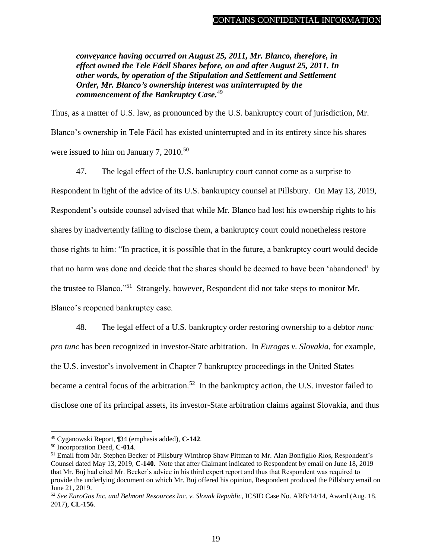*conveyance having occurred on August 25, 2011, Mr. Blanco, therefore, in effect owned the Tele Fácil Shares before, on and after August 25, 2011. In other words, by operation of the Stipulation and Settlement and Settlement Order, Mr. Blanco's ownership interest was uninterrupted by the commencement of the Bankruptcy Case.*<sup>49</sup>

Thus, as a matter of U.S. law, as pronounced by the U.S. bankruptcy court of jurisdiction, Mr. Blanco's ownership in Tele Fácil has existed uninterrupted and in its entirety since his shares were issued to him on January 7,  $2010^{50}$ 

47. The legal effect of the U.S. bankruptcy court cannot come as a surprise to Respondent in light of the advice of its U.S. bankruptcy counsel at Pillsbury. On May 13, 2019, Respondent's outside counsel advised that while Mr. Blanco had lost his ownership rights to his shares by inadvertently failing to disclose them, a bankruptcy court could nonetheless restore those rights to him: "In practice, it is possible that in the future, a bankruptcy court would decide that no harm was done and decide that the shares should be deemed to have been 'abandoned' by the trustee to Blanco."<sup>51</sup> Strangely, however, Respondent did not take steps to monitor Mr. Blanco's reopened bankruptcy case.

48. The legal effect of a U.S. bankruptcy order restoring ownership to a debtor *nunc pro tunc* has been recognized in investor-State arbitration. In *Eurogas v. Slovakia*, for example, the U.S. investor's involvement in Chapter 7 bankruptcy proceedings in the United States became a central focus of the arbitration.<sup>52</sup> In the bankruptcy action, the U.S. investor failed to disclose one of its principal assets, its investor-State arbitration claims against Slovakia, and thus

<sup>49</sup> Cyganowski Report, ¶34 (emphasis added), **C-142**.

<sup>50</sup> Incorporation Deed, **C-014**.

<sup>51</sup> Email from Mr. Stephen Becker of Pillsbury Winthrop Shaw Pittman to Mr. Alan Bonfiglio Rios, Respondent's Counsel dated May 13, 2019, **C-140**. Note that after Claimant indicated to Respondent by email on June 18, 2019 that Mr. Buj had cited Mr. Becker's advice in his third expert report and thus that Respondent was required to provide the underlying document on which Mr. Buj offered his opinion, Respondent produced the Pillsbury email on June 21, 2019.

<sup>52</sup> *See EuroGas Inc. and Belmont Resources Inc. v. Slovak Republic*, ICSID Case No. ARB/14/14, Award (Aug. 18, 2017), **CL-156**.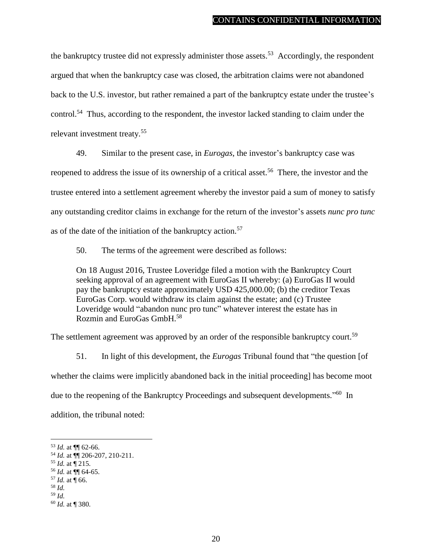the bankruptcy trustee did not expressly administer those assets.<sup>53</sup> Accordingly, the respondent argued that when the bankruptcy case was closed, the arbitration claims were not abandoned back to the U.S. investor, but rather remained a part of the bankruptcy estate under the trustee's control.<sup>54</sup> Thus, according to the respondent, the investor lacked standing to claim under the relevant investment treaty.<sup>55</sup>

49. Similar to the present case, in *Eurogas*, the investor's bankruptcy case was reopened to address the issue of its ownership of a critical asset.<sup>56</sup> There, the investor and the trustee entered into a settlement agreement whereby the investor paid a sum of money to satisfy any outstanding creditor claims in exchange for the return of the investor's assets *nunc pro tunc* as of the date of the initiation of the bankruptcy action.<sup>57</sup>

50. The terms of the agreement were described as follows:

On 18 August 2016, Trustee Loveridge filed a motion with the Bankruptcy Court seeking approval of an agreement with EuroGas II whereby: (a) EuroGas II would pay the bankruptcy estate approximately USD 425,000.00; (b) the creditor Texas EuroGas Corp. would withdraw its claim against the estate; and (c) Trustee Loveridge would "abandon nunc pro tunc" whatever interest the estate has in Rozmin and EuroGas GmbH.<sup>58</sup>

The settlement agreement was approved by an order of the responsible bankruptcy court.<sup>59</sup>

51. In light of this development, the *Eurogas* Tribunal found that "the question [of whether the claims were implicitly abandoned back in the initial proceeding] has become moot due to the reopening of the Bankruptcy Proceedings and subsequent developments."<sup>60</sup> In addition, the tribunal noted:

<sup>53</sup> *Id.* at ¶¶ 62-66.

<sup>54</sup> *Id.* at ¶¶ 206-207, 210-211.

 $^{55}$  *Id.* at  $\sqrt{215}$ .

<sup>56</sup> *Id.* at ¶¶ 64-65.

 $57$  *Id.* at  $\P$  66.

<sup>58</sup> *Id.* <sup>59</sup> *Id.*

<sup>60</sup> *Id.* at ¶ 380.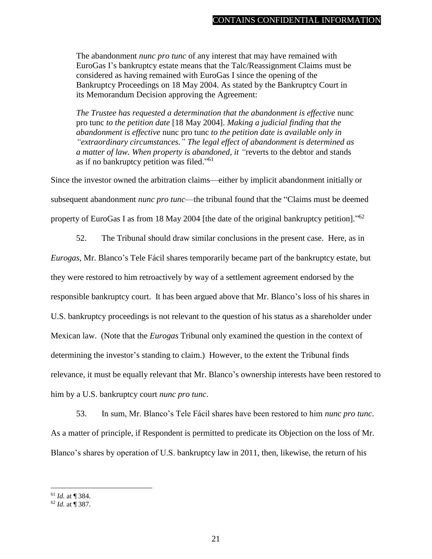The abandonment *nunc pro tunc* of any interest that may have remained with EuroGas I's bankruptcy estate means that the Talc/Reassignment Claims must be considered as having remained with EuroGas I since the opening of the Bankruptcy Proceedings on 18 May 2004. As stated by the Bankruptcy Court in its Memorandum Decision approving the Agreement:

*The Trustee has requested a determination that the abandonment is effective nunc* pro tunc *to the petition date* [18 May 2004]. *Making a judicial finding that the abandonment is effective* nunc pro tunc *to the petition date is available only in "extraordinary circumstances." The legal effect of abandonment is determined as a matter of law. When property is abandoned, it "*reverts to the debtor and stands as if no bankruptcy petition was filed."<sup>61</sup>

Since the investor owned the arbitration claims—either by implicit abandonment initially or subsequent abandonment *nunc pro tunc*—the tribunal found that the "Claims must be deemed property of EuroGas I as from 18 May 2004 [the date of the original bankruptcy petition]."<sup>62</sup>

52. The Tribunal should draw similar conclusions in the present case. Here, as in

*Eurogas*, Mr. Blanco's Tele Fácil shares temporarily became part of the bankruptcy estate, but they were restored to him retroactively by way of a settlement agreement endorsed by the responsible bankruptcy court. It has been argued above that Mr. Blanco's loss of his shares in U.S. bankruptcy proceedings is not relevant to the question of his status as a shareholder under Mexican law. (Note that the *Eurogas* Tribunal only examined the question in the context of determining the investor's standing to claim.) However, to the extent the Tribunal finds relevance, it must be equally relevant that Mr. Blanco's ownership interests have been restored to him by a U.S. bankruptcy court *nunc pro tunc*.

53. In sum, Mr. Blanco's Tele Fácil shares have been restored to him *nunc pro tunc*. As a matter of principle, if Respondent is permitted to predicate its Objection on the loss of Mr. Blanco's shares by operation of U.S. bankruptcy law in 2011, then, likewise, the return of his

<sup>61</sup> *Id.* at ¶ 384.

<sup>62</sup> *Id.* at ¶ 387.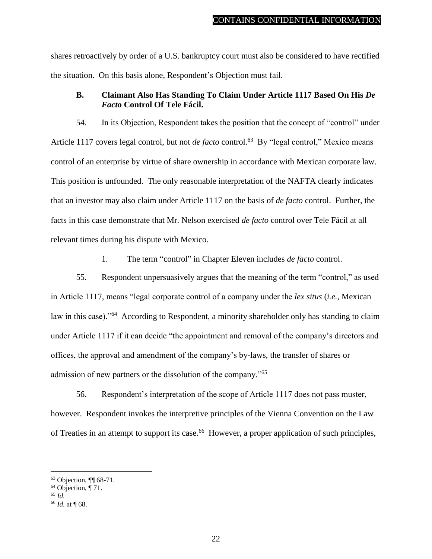shares retroactively by order of a U.S. bankruptcy court must also be considered to have rectified the situation. On this basis alone, Respondent's Objection must fail.

#### <span id="page-25-0"></span>**B. Claimant Also Has Standing To Claim Under Article 1117 Based On His** *De Facto* **Control Of Tele Fácil.**

54. In its Objection, Respondent takes the position that the concept of "control" under Article 1117 covers legal control, but not *de facto* control.<sup>63</sup> By "legal control," Mexico means control of an enterprise by virtue of share ownership in accordance with Mexican corporate law. This position is unfounded. The only reasonable interpretation of the NAFTA clearly indicates that an investor may also claim under Article 1117 on the basis of *de facto* control. Further, the facts in this case demonstrate that Mr. Nelson exercised *de facto* control over Tele Fácil at all relevant times during his dispute with Mexico.

#### 1. The term "control" in Chapter Eleven includes *de facto* control.

<span id="page-25-1"></span>55. Respondent unpersuasively argues that the meaning of the term "control," as used in Article 1117, means "legal corporate control of a company under the *lex situs* (*i.e.*, Mexican law in this case)."<sup>64</sup> According to Respondent, a minority shareholder only has standing to claim under Article 1117 if it can decide "the appointment and removal of the company's directors and offices, the approval and amendment of the company's by-laws, the transfer of shares or admission of new partners or the dissolution of the company."<sup>65</sup>

56. Respondent's interpretation of the scope of Article 1117 does not pass muster, however. Respondent invokes the interpretive principles of the Vienna Convention on the Law of Treaties in an attempt to support its case.<sup>66</sup> However, a proper application of such principles,

<sup>63</sup> Objection, ¶¶ 68-71.

 $64$  Objection,  $\P$  71.

<sup>65</sup> *Id.*

<sup>66</sup> *Id.* at ¶ 68.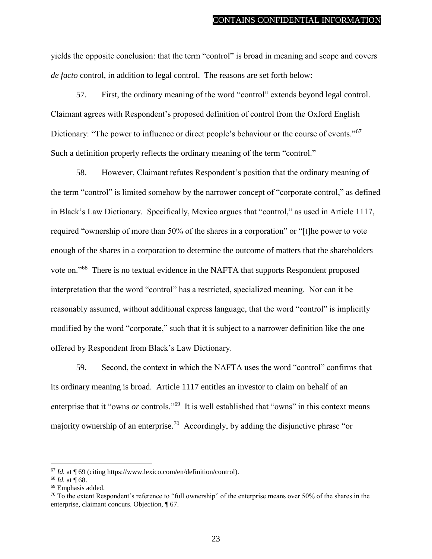yields the opposite conclusion: that the term "control" is broad in meaning and scope and covers *de facto* control, in addition to legal control. The reasons are set forth below:

57. First, the ordinary meaning of the word "control" extends beyond legal control. Claimant agrees with Respondent's proposed definition of control from the Oxford English Dictionary: "The power to influence or direct people's behaviour or the course of events."<sup>67</sup> Such a definition properly reflects the ordinary meaning of the term "control."

58. However, Claimant refutes Respondent's position that the ordinary meaning of the term "control" is limited somehow by the narrower concept of "corporate control," as defined in Black's Law Dictionary. Specifically, Mexico argues that "control," as used in Article 1117, required "ownership of more than 50% of the shares in a corporation" or "[t]he power to vote enough of the shares in a corporation to determine the outcome of matters that the shareholders vote on."<sup>68</sup> There is no textual evidence in the NAFTA that supports Respondent proposed interpretation that the word "control" has a restricted, specialized meaning. Nor can it be reasonably assumed, without additional express language, that the word "control" is implicitly modified by the word "corporate," such that it is subject to a narrower definition like the one offered by Respondent from Black's Law Dictionary.

59. Second, the context in which the NAFTA uses the word "control" confirms that its ordinary meaning is broad. Article 1117 entitles an investor to claim on behalf of an enterprise that it "owns *or* controls."<sup>69</sup> It is well established that "owns" in this context means majority ownership of an enterprise.<sup>70</sup> Accordingly, by adding the disjunctive phrase "or

<sup>67</sup> *Id.* at ¶ 69 (citing https://www.lexico.com/en/definition/control).

<sup>68</sup> *Id.* at ¶ 68.

<sup>69</sup> Emphasis added.

 $70$  To the extent Respondent's reference to "full ownership" of the enterprise means over 50% of the shares in the enterprise, claimant concurs. Objection, ¶ 67.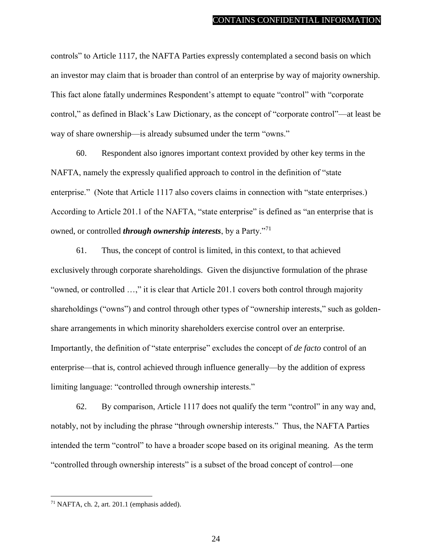controls" to Article 1117, the NAFTA Parties expressly contemplated a second basis on which an investor may claim that is broader than control of an enterprise by way of majority ownership. This fact alone fatally undermines Respondent's attempt to equate "control" with "corporate control," as defined in Black's Law Dictionary, as the concept of "corporate control"—at least be way of share ownership—is already subsumed under the term "owns."

60. Respondent also ignores important context provided by other key terms in the NAFTA, namely the expressly qualified approach to control in the definition of "state enterprise." (Note that Article 1117 also covers claims in connection with "state enterprises.) According to Article 201.1 of the NAFTA, "state enterprise" is defined as "an enterprise that is owned, or controlled *through ownership interests*, by a Party."<sup>71</sup>

61. Thus, the concept of control is limited, in this context, to that achieved exclusively through corporate shareholdings. Given the disjunctive formulation of the phrase "owned, or controlled …," it is clear that Article 201.1 covers both control through majority shareholdings ("owns") and control through other types of "ownership interests," such as goldenshare arrangements in which minority shareholders exercise control over an enterprise. Importantly, the definition of "state enterprise" excludes the concept of *de facto* control of an enterprise—that is, control achieved through influence generally—by the addition of express limiting language: "controlled through ownership interests."

62. By comparison, Article 1117 does not qualify the term "control" in any way and, notably, not by including the phrase "through ownership interests." Thus, the NAFTA Parties intended the term "control" to have a broader scope based on its original meaning. As the term "controlled through ownership interests" is a subset of the broad concept of control—one

<sup>71</sup> NAFTA, ch. 2, art. 201.1 (emphasis added).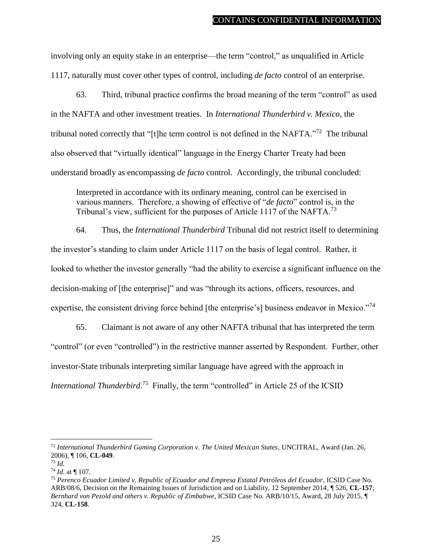involving only an equity stake in an enterprise—the term "control," as unqualified in Article 1117, naturally must cover other types of control, including *de facto* control of an enterprise.

63. Third, tribunal practice confirms the broad meaning of the term "control" as used in the NAFTA and other investment treaties. In *International Thunderbird v. Mexico*, the tribunal noted correctly that "[t]he term control is not defined in the NAFTA."<sup>72</sup> The tribunal also observed that "virtually identical" language in the Energy Charter Treaty had been understand broadly as encompassing *de facto* control. Accordingly, the tribunal concluded:

Interpreted in accordance with its ordinary meaning, control can be exercised in various manners. Therefore, a showing of effective of "*de facto*" control is, in the Tribunal's view, sufficient for the purposes of Article 1117 of the NAFTA.<sup>73</sup>

64. Thus, the *International Thunderbird* Tribunal did not restrict itself to determining the investor's standing to claim under Article 1117 on the basis of legal control. Rather, it looked to whether the investor generally "had the ability to exercise a significant influence on the decision-making of [the enterprise]" and was "through its actions, officers, resources, and expertise, the consistent driving force behind [the enterprise's] business endeavor in Mexico."<sup>74</sup>

65. Claimant is not aware of any other NAFTA tribunal that has interpreted the term "control" (or even "controlled") in the restrictive manner asserted by Respondent. Further, other investor-State tribunals interpreting similar language have agreed with the approach in *International Thunderbird*.<sup>75</sup> Finally, the term "controlled" in Article 25 of the ICSID

<sup>72</sup> *International Thunderbird Gaming Corporation v. The United Mexican States*, UNCITRAL, Award (Jan. 26, 2006), ¶ 106, **CL-049**.

 $^{73}$  *Id.* 

<sup>74</sup> *Id.* at ¶ 107.

<sup>75</sup> *Perenco Ecuador Limited v. Republic of Ecuador and Empresa Estatal Petróleos del Ecuador*, ICSID Case No. ARB/08/6, Decision on the Remaining Issues of Jurisdiction and on Liability, 12 September 2014, ¶ 526, **CL-157**; *Bernhard von Pezold and others v. Republic of Zimbabwe*, ICSID Case No. ARB/10/15, Award, 28 July 2015, ¶ 324, **CL-158**.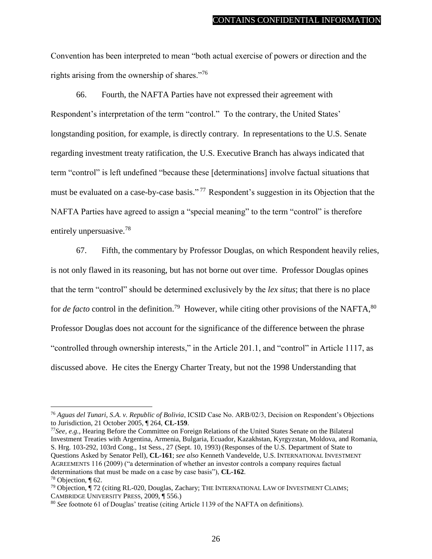Convention has been interpreted to mean "both actual exercise of powers or direction and the rights arising from the ownership of shares."76

66. Fourth, the NAFTA Parties have not expressed their agreement with Respondent's interpretation of the term "control." To the contrary, the United States' longstanding position, for example, is directly contrary. In representations to the U.S. Senate regarding investment treaty ratification, the U.S. Executive Branch has always indicated that term "control" is left undefined "because these [determinations] involve factual situations that must be evaluated on a case-by-case basis."<sup>77</sup> Respondent's suggestion in its Objection that the NAFTA Parties have agreed to assign a "special meaning" to the term "control" is therefore entirely unpersuasive.<sup>78</sup>

67. Fifth, the commentary by Professor Douglas, on which Respondent heavily relies, is not only flawed in its reasoning, but has not borne out over time. Professor Douglas opines that the term "control" should be determined exclusively by the *lex situs*; that there is no place for *de facto* control in the definition.<sup>79</sup> However, while citing other provisions of the NAFTA,<sup>80</sup> Professor Douglas does not account for the significance of the difference between the phrase "controlled through ownership interests," in the Article 201.1, and "control" in Article 1117, as discussed above. He cites the Energy Charter Treaty, but not the 1998 Understanding that

<sup>77</sup>*See, e.g.,* Hearing Before the Committee on Foreign Relations of the United States Senate on the Bilateral Investment Treaties with Argentina, Armenia, Bulgaria, Ecuador, Kazakhstan, Kyrgyzstan, Moldova, and Romania, S. Hrg. 103-292, 103rd Cong., 1st Sess., 27 (Sept. 10, 1993) (Responses of the U.S. Department of State to Questions Asked by Senator Pell), **CL-161**; *see also* Kenneth Vandevelde, U.S. INTERNATIONAL INVESTMENT AGREEMENTS 116 (2009) ("a determination of whether an investor controls a company requires factual determinations that must be made on a case by case basis"), **CL-162**.

<sup>76</sup> *Aguas del Tunari, S.A. v. Republic of Bolivia*, ICSID Case No. ARB/02/3, Decision on Respondent's Objections to Jurisdiction, 21 October 2005, ¶ 264, **CL-159**.

<sup>78</sup> Objection, ¶ 62.

<sup>79</sup> Objection, ¶ 72 (citing RL-020, Douglas, Zachary; THE INTERNATIONAL LAW OF INVESTMENT CLAIMS; CAMBRIDGE UNIVERSITY PRESS, 2009, ¶ 556.)

<sup>80</sup> *See* footnote 61 of Douglas' treatise (citing Article 1139 of the NAFTA on definitions).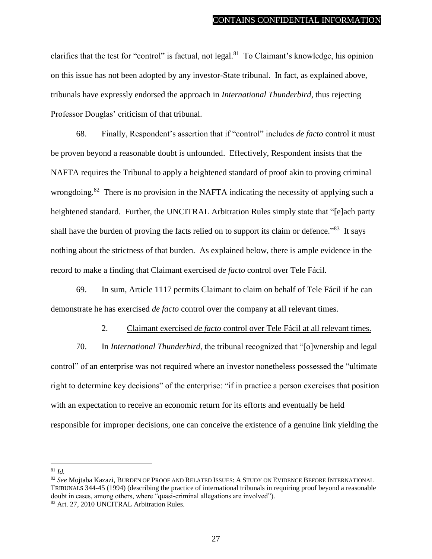clarifies that the test for "control" is factual, not legal.<sup>81</sup> To Claimant's knowledge, his opinion on this issue has not been adopted by any investor-State tribunal. In fact, as explained above, tribunals have expressly endorsed the approach in *International Thunderbird*, thus rejecting Professor Douglas' criticism of that tribunal.

68. Finally, Respondent's assertion that if "control" includes *de facto* control it must be proven beyond a reasonable doubt is unfounded. Effectively, Respondent insists that the NAFTA requires the Tribunal to apply a heightened standard of proof akin to proving criminal wrongdoing.<sup>82</sup> There is no provision in the NAFTA indicating the necessity of applying such a heightened standard. Further, the UNCITRAL Arbitration Rules simply state that "[e]ach party shall have the burden of proving the facts relied on to support its claim or defence."<sup>83</sup> It says nothing about the strictness of that burden. As explained below, there is ample evidence in the record to make a finding that Claimant exercised *de facto* control over Tele Fácil.

69. In sum, Article 1117 permits Claimant to claim on behalf of Tele Fácil if he can demonstrate he has exercised *de facto* control over the company at all relevant times.

#### 2. Claimant exercised *de facto* control over Tele Fácil at all relevant times.

<span id="page-30-0"></span>70. In *International Thunderbird*, the tribunal recognized that "[o]wnership and legal control" of an enterprise was not required where an investor nonetheless possessed the "ultimate right to determine key decisions" of the enterprise: "if in practice a person exercises that position with an expectation to receive an economic return for its efforts and eventually be held responsible for improper decisions, one can conceive the existence of a genuine link yielding the

<sup>81</sup> *Id.*

<sup>82</sup> *See* Mojtaba Kazazi, BURDEN OF PROOF AND RELATED ISSUES: A STUDY ON EVIDENCE BEFORE INTERNATIONAL TRIBUNALS 344-45 (1994) (describing the practice of international tribunals in requiring proof beyond a reasonable doubt in cases, among others, where "quasi-criminal allegations are involved").

<sup>83</sup> Art. 27, 2010 UNCITRAL Arbitration Rules.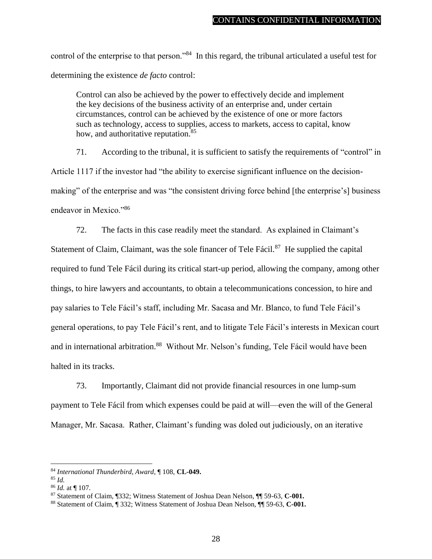control of the enterprise to that person."<sup>84</sup> In this regard, the tribunal articulated a useful test for determining the existence *de facto* control:

Control can also be achieved by the power to effectively decide and implement the key decisions of the business activity of an enterprise and, under certain circumstances, control can be achieved by the existence of one or more factors such as technology, access to supplies, access to markets, access to capital, know how, and authoritative reputation.<sup>85</sup>

71. According to the tribunal, it is sufficient to satisfy the requirements of "control" in Article 1117 if the investor had "the ability to exercise significant influence on the decisionmaking" of the enterprise and was "the consistent driving force behind [the enterprise's] business endeavor in Mexico."<sup>86</sup>

72. The facts in this case readily meet the standard. As explained in Claimant's Statement of Claim, Claimant, was the sole financer of Tele Fácil.<sup>87</sup> He supplied the capital required to fund Tele Fácil during its critical start-up period, allowing the company, among other things, to hire lawyers and accountants, to obtain a telecommunications concession, to hire and pay salaries to Tele Fácil's staff, including Mr. Sacasa and Mr. Blanco, to fund Tele Fácil's general operations, to pay Tele Fácil's rent, and to litigate Tele Fácil's interests in Mexican court and in international arbitration.<sup>88</sup> Without Mr. Nelson's funding, Tele Fácil would have been halted in its tracks.

73. Importantly, Claimant did not provide financial resources in one lump-sum payment to Tele Fácil from which expenses could be paid at will—even the will of the General Manager, Mr. Sacasa. Rather, Claimant's funding was doled out judiciously, on an iterative

<sup>84</sup> *International Thunderbird, Award*, ¶ 108, **CL-049.**

<sup>85</sup> *Id.*

<sup>86</sup> *Id.* at ¶ 107.

<sup>87</sup> Statement of Claim, ¶332; Witness Statement of Joshua Dean Nelson, ¶¶ 59-63, **C-001.**

<sup>88</sup> Statement of Claim, ¶ 332; Witness Statement of Joshua Dean Nelson, ¶¶ 59-63, **C-001.**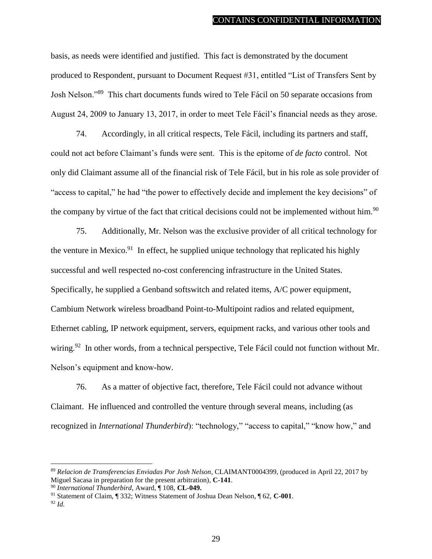basis, as needs were identified and justified. This fact is demonstrated by the document produced to Respondent, pursuant to Document Request #31, entitled "List of Transfers Sent by Josh Nelson."<sup>89</sup> This chart documents funds wired to Tele Fácil on 50 separate occasions from August 24, 2009 to January 13, 2017, in order to meet Tele Fácil's financial needs as they arose.

74. Accordingly, in all critical respects, Tele Fácil, including its partners and staff, could not act before Claimant's funds were sent. This is the epitome of *de facto* control. Not only did Claimant assume all of the financial risk of Tele Fácil, but in his role as sole provider of "access to capital," he had "the power to effectively decide and implement the key decisions" of the company by virtue of the fact that critical decisions could not be implemented without him.<sup>90</sup>

75. Additionally, Mr. Nelson was the exclusive provider of all critical technology for the venture in Mexico.<sup>91</sup> In effect, he supplied unique technology that replicated his highly successful and well respected no-cost conferencing infrastructure in the United States. Specifically, he supplied a Genband softswitch and related items, A/C power equipment, Cambium Network wireless broadband Point-to-Multipoint radios and related equipment, Ethernet cabling, IP network equipment, servers, equipment racks, and various other tools and wiring.<sup>92</sup> In other words, from a technical perspective, Tele Fácil could not function without Mr. Nelson's equipment and know-how.

76. As a matter of objective fact, therefore, Tele Fácil could not advance without Claimant. He influenced and controlled the venture through several means, including (as recognized in *International Thunderbird*): "technology," "access to capital," "know how," and

<sup>89</sup> *Relacion de Transferencias Enviadas Por Josh Nelson*, CLAIMANT0004399, (produced in April 22, 2017 by Miguel Sacasa in preparation for the present arbitration), **C-141**.

<sup>90</sup> *International Thunderbird*, Award, ¶ 108, **CL-049.** 

<sup>91</sup> Statement of Claim, ¶ 332; Witness Statement of Joshua Dean Nelson, ¶ 62, **C-001**. <sup>92</sup> *Id.*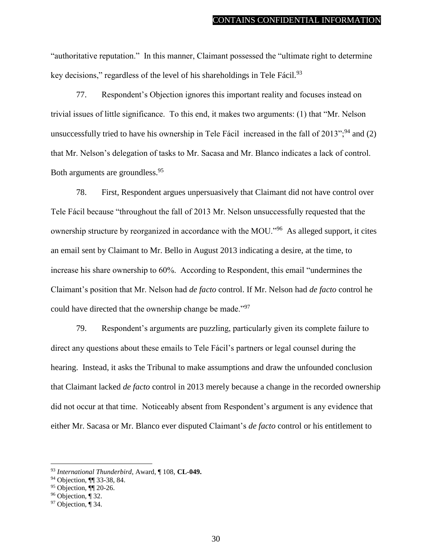"authoritative reputation." In this manner, Claimant possessed the "ultimate right to determine key decisions," regardless of the level of his shareholdings in Tele Fácil. $93$ 

77. Respondent's Objection ignores this important reality and focuses instead on trivial issues of little significance. To this end, it makes two arguments: (1) that "Mr. Nelson unsuccessfully tried to have his ownership in Tele Fácil increased in the fall of  $2013$ ";<sup>94</sup> and (2) that Mr. Nelson's delegation of tasks to Mr. Sacasa and Mr. Blanco indicates a lack of control. Both arguments are groundless.<sup>95</sup>

78. First, Respondent argues unpersuasively that Claimant did not have control over Tele Fácil because "throughout the fall of 2013 Mr. Nelson unsuccessfully requested that the ownership structure by reorganized in accordance with the MOU."<sup>96</sup> As alleged support, it cites an email sent by Claimant to Mr. Bello in August 2013 indicating a desire, at the time, to increase his share ownership to 60%. According to Respondent, this email "undermines the Claimant's position that Mr. Nelson had *de facto* control. If Mr. Nelson had *de facto* control he could have directed that the ownership change be made."<sup>97</sup>

79. Respondent's arguments are puzzling, particularly given its complete failure to direct any questions about these emails to Tele Fácil's partners or legal counsel during the hearing. Instead, it asks the Tribunal to make assumptions and draw the unfounded conclusion that Claimant lacked *de facto* control in 2013 merely because a change in the recorded ownership did not occur at that time. Noticeably absent from Respondent's argument is any evidence that either Mr. Sacasa or Mr. Blanco ever disputed Claimant's *de facto* control or his entitlement to

<sup>93</sup> *International Thunderbird*, Award, ¶ 108, **CL-049.** 

<sup>94</sup> Objection, ¶¶ 33-38, 84.

<sup>95</sup> Objection, ¶¶ 20-26.

<sup>96</sup> Objection, ¶ 32.

<sup>97</sup> Objection, ¶ 34.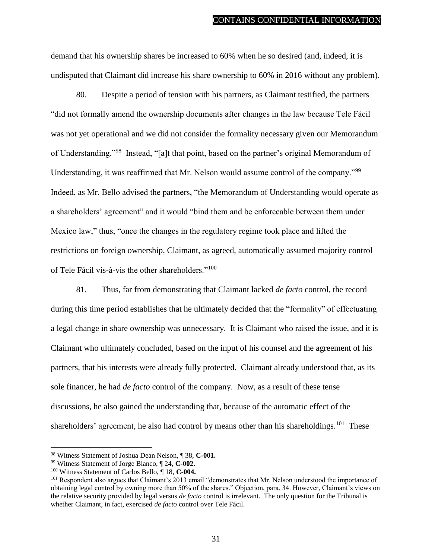demand that his ownership shares be increased to 60% when he so desired (and, indeed, it is undisputed that Claimant did increase his share ownership to 60% in 2016 without any problem).

80. Despite a period of tension with his partners, as Claimant testified, the partners "did not formally amend the ownership documents after changes in the law because Tele Fácil was not yet operational and we did not consider the formality necessary given our Memorandum of Understanding."<sup>98</sup> Instead, "[a]t that point, based on the partner's original Memorandum of Understanding, it was reaffirmed that Mr. Nelson would assume control of the company."<sup>99</sup> Indeed, as Mr. Bello advised the partners, "the Memorandum of Understanding would operate as a shareholders' agreement" and it would "bind them and be enforceable between them under Mexico law," thus, "once the changes in the regulatory regime took place and lifted the restrictions on foreign ownership, Claimant, as agreed, automatically assumed majority control of Tele Fácil vis-à-vis the other shareholders."<sup>100</sup>

81. Thus, far from demonstrating that Claimant lacked *de facto* control, the record during this time period establishes that he ultimately decided that the "formality" of effectuating a legal change in share ownership was unnecessary. It is Claimant who raised the issue, and it is Claimant who ultimately concluded, based on the input of his counsel and the agreement of his partners, that his interests were already fully protected. Claimant already understood that, as its sole financer, he had *de facto* control of the company. Now, as a result of these tense discussions, he also gained the understanding that, because of the automatic effect of the shareholders' agreement, he also had control by means other than his shareholdings.<sup>101</sup> These

<sup>98</sup> Witness Statement of Joshua Dean Nelson, ¶ 38, **C-001.**

<sup>99</sup> Witness Statement of Jorge Blanco, ¶ 24, **C-002.**

<sup>100</sup> Witness Statement of Carlos Bello, ¶ 18, **C-004.**

<sup>101</sup> Respondent also argues that Claimant's 2013 email "demonstrates that Mr. Nelson understood the importance of obtaining legal control by owning more than 50% of the shares." Objection, para. 34. However, Claimant's views on the relative security provided by legal versus *de facto* control is irrelevant. The only question for the Tribunal is whether Claimant, in fact, exercised *de facto* control over Tele Fácil.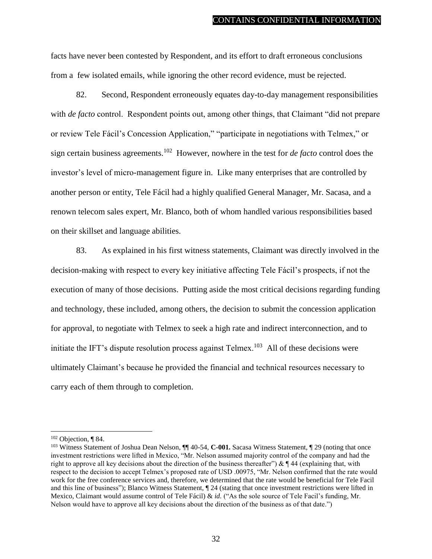facts have never been contested by Respondent, and its effort to draft erroneous conclusions from a few isolated emails, while ignoring the other record evidence, must be rejected.

82. Second, Respondent erroneously equates day-to-day management responsibilities with *de facto* control. Respondent points out, among other things, that Claimant "did not prepare or review Tele Fácil's Concession Application," "participate in negotiations with Telmex," or sign certain business agreements.<sup>102</sup> However, nowhere in the test for *de facto* control does the investor's level of micro-management figure in. Like many enterprises that are controlled by another person or entity, Tele Fácil had a highly qualified General Manager, Mr. Sacasa, and a renown telecom sales expert, Mr. Blanco, both of whom handled various responsibilities based on their skillset and language abilities.

83. As explained in his first witness statements, Claimant was directly involved in the decision-making with respect to every key initiative affecting Tele Fácil's prospects, if not the execution of many of those decisions. Putting aside the most critical decisions regarding funding and technology, these included, among others, the decision to submit the concession application for approval, to negotiate with Telmex to seek a high rate and indirect interconnection, and to initiate the IFT's dispute resolution process against  $T$ elmex.<sup>103</sup> All of these decisions were ultimately Claimant's because he provided the financial and technical resources necessary to carry each of them through to completion.

 $102$  Objection, ¶ 84.

<sup>&</sup>lt;sup>103</sup> Witness Statement of Joshua Dean Nelson, ¶ 40-54, **C-001.** Sacasa Witness Statement, ¶ 29 (noting that once investment restrictions were lifted in Mexico, "Mr. Nelson assumed majority control of the company and had the right to approve all key decisions about the direction of the business thereafter") &  $\P$  44 (explaining that, with respect to the decision to accept Telmex's proposed rate of USD .00975, "Mr. Nelson confirmed that the rate would work for the free conference services and, therefore, we determined that the rate would be beneficial for Tele Facil and this line of business"); Blanco Witness Statement, ¶ 24 (stating that once investment restrictions were lifted in Mexico, Claimant would assume control of Tele Fácil) & *id.* ("As the sole source of Tele Facil's funding, Mr. Nelson would have to approve all key decisions about the direction of the business as of that date.")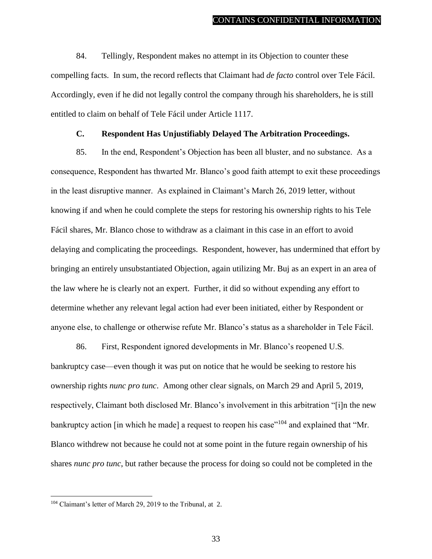84. Tellingly, Respondent makes no attempt in its Objection to counter these compelling facts. In sum, the record reflects that Claimant had *de facto* control over Tele Fácil. Accordingly, even if he did not legally control the company through his shareholders, he is still entitled to claim on behalf of Tele Fácil under Article 1117.

### **C. Respondent Has Unjustifiably Delayed The Arbitration Proceedings.**

<span id="page-36-0"></span>85. In the end, Respondent's Objection has been all bluster, and no substance. As a consequence, Respondent has thwarted Mr. Blanco's good faith attempt to exit these proceedings in the least disruptive manner. As explained in Claimant's March 26, 2019 letter, without knowing if and when he could complete the steps for restoring his ownership rights to his Tele Fácil shares, Mr. Blanco chose to withdraw as a claimant in this case in an effort to avoid delaying and complicating the proceedings. Respondent, however, has undermined that effort by bringing an entirely unsubstantiated Objection, again utilizing Mr. Buj as an expert in an area of the law where he is clearly not an expert. Further, it did so without expending any effort to determine whether any relevant legal action had ever been initiated, either by Respondent or anyone else, to challenge or otherwise refute Mr. Blanco's status as a shareholder in Tele Fácil.

86. First, Respondent ignored developments in Mr. Blanco's reopened U.S. bankruptcy case—even though it was put on notice that he would be seeking to restore his ownership rights *nunc pro tunc*. Among other clear signals, on March 29 and April 5, 2019, respectively, Claimant both disclosed Mr. Blanco's involvement in this arbitration "[i]n the new bankruptcy action [in which he made] a request to reopen his case"<sup>104</sup> and explained that "Mr. Blanco withdrew not because he could not at some point in the future regain ownership of his shares *nunc pro tunc*, but rather because the process for doing so could not be completed in the

<sup>104</sup> Claimant's letter of March 29, 2019 to the Tribunal, at 2.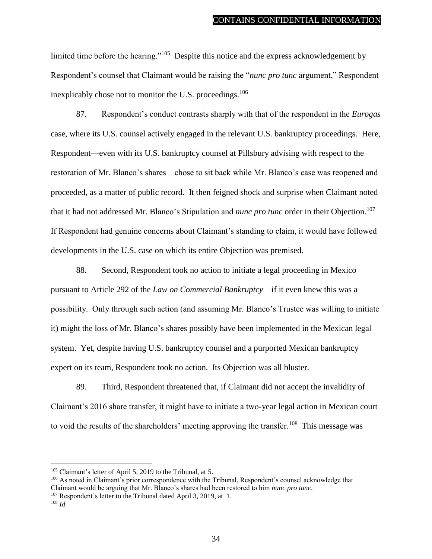limited time before the hearing."<sup>105</sup> Despite this notice and the express acknowledgement by Respondent's counsel that Claimant would be raising the "*nunc pro tunc* argument," Respondent inexplicably chose not to monitor the U.S. proceedings.<sup>106</sup>

87. Respondent's conduct contrasts sharply with that of the respondent in the *Eurogas* case, where its U.S. counsel actively engaged in the relevant U.S. bankruptcy proceedings. Here, Respondent—even with its U.S. bankruptcy counsel at Pillsbury advising with respect to the restoration of Mr. Blanco's shares—chose to sit back while Mr. Blanco's case was reopened and proceeded, as a matter of public record. It then feigned shock and surprise when Claimant noted that it had not addressed Mr. Blanco's Stipulation and *nunc pro tunc* order in their Objection.<sup>107</sup> If Respondent had genuine concerns about Claimant's standing to claim, it would have followed developments in the U.S. case on which its entire Objection was premised.

88. Second, Respondent took no action to initiate a legal proceeding in Mexico pursuant to Article 292 of the *Law on Commercial Bankruptcy*—if it even knew this was a possibility. Only through such action (and assuming Mr. Blanco's Trustee was willing to initiate it) might the loss of Mr. Blanco's shares possibly have been implemented in the Mexican legal system. Yet, despite having U.S. bankruptcy counsel and a purported Mexican bankruptcy expert on its team, Respondent took no action. Its Objection was all bluster.

89. Third, Respondent threatened that, if Claimant did not accept the invalidity of Claimant's 2016 share transfer, it might have to initiate a two-year legal action in Mexican court to void the results of the shareholders' meeting approving the transfer.<sup>108</sup> This message was

<sup>105</sup> Claimant's letter of April 5, 2019 to the Tribunal, at 5.

<sup>&</sup>lt;sup>106</sup> As noted in Claimant's prior correspondence with the Tribunal, Respondent's counsel acknowledge that Claimant would be arguing that Mr. Blanco's shares had been restored to him *nunc pro tunc*.

<sup>&</sup>lt;sup>107</sup> Respondent's letter to the Tribunal dated April 3, 2019, at 1.

<sup>108</sup> *Id.*